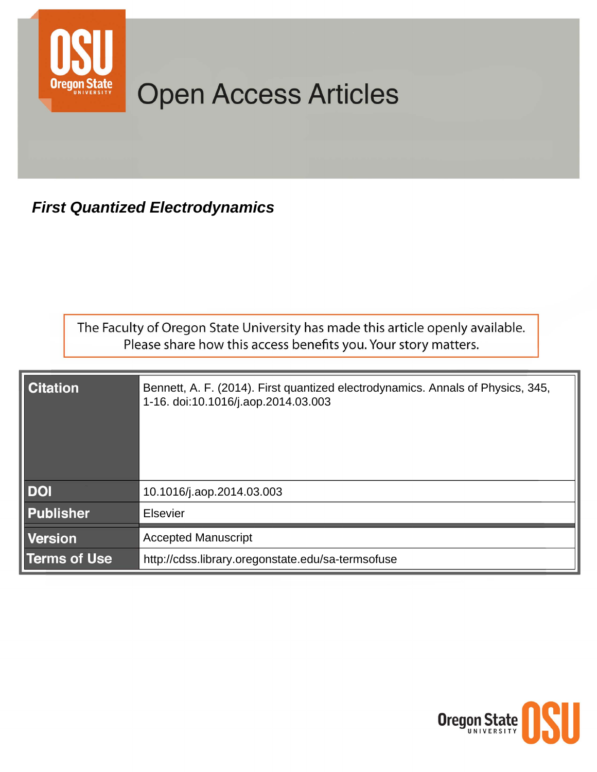

# **Open Access Articles**

**First Quantized Electrodynamics** 

The Faculty of Oregon State University has made this article openly available. Please share how this access benefits you. Your story matters.

| <b>Citation</b>     | Bennett, A. F. (2014). First quantized electrodynamics. Annals of Physics, 345,<br>1-16. doi:10.1016/j.aop.2014.03.003 |
|---------------------|------------------------------------------------------------------------------------------------------------------------|
| <b>DOI</b>          | 10.1016/j.aop.2014.03.003                                                                                              |
| <b>Publisher</b>    | <b>Elsevier</b>                                                                                                        |
| <b>Version</b>      | <b>Accepted Manuscript</b>                                                                                             |
| <b>Terms of Use</b> | http://cdss.library.oregonstate.edu/sa-termsofuse                                                                      |

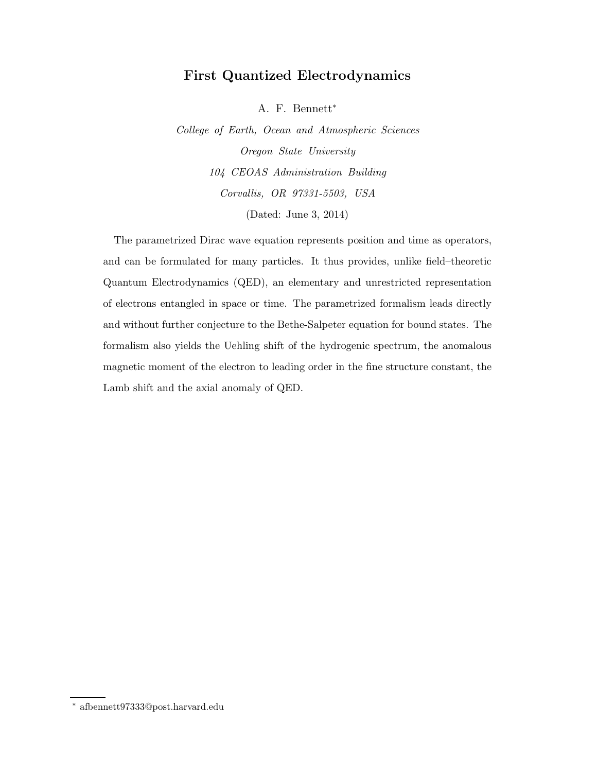## First Quantized Electrodynamics

A. F. Bennett<sup>∗</sup>

*College of Earth, Ocean and Atmospheric Sciences Oregon State University 104 CEOAS Administration Building Corvallis, OR 97331-5503, USA* (Dated: June 3, 2014)

The parametrized Dirac wave equation represents position and time as operators, and can be formulated for many particles. It thus provides, unlike field–theoretic Quantum Electrodynamics (QED), an elementary and unrestricted representation of electrons entangled in space or time. The parametrized formalism leads directly and without further conjecture to the Bethe-Salpeter equation for bound states. The formalism also yields the Uehling shift of the hydrogenic spectrum, the anomalous magnetic moment of the electron to leading order in the fine structure constant, the Lamb shift and the axial anomaly of QED.

<sup>∗</sup> afbennett97333@post.harvard.edu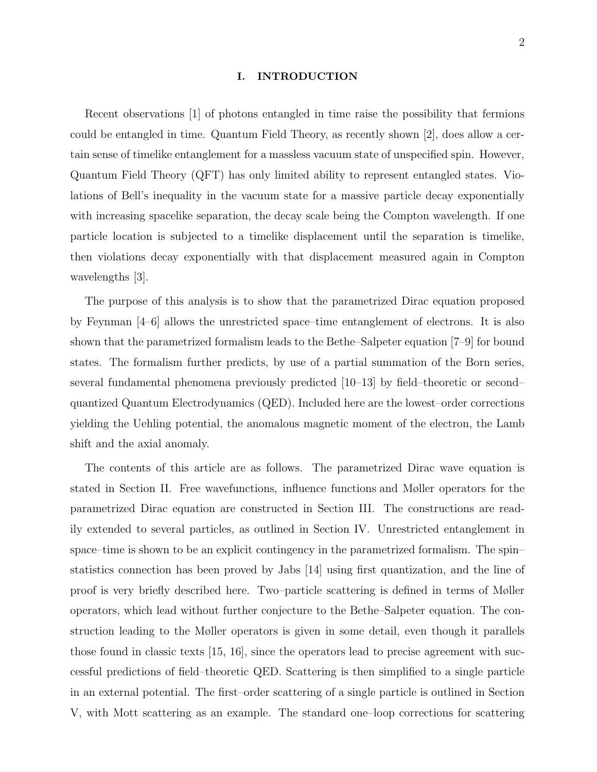#### I. INTRODUCTION

Recent observations [1] of photons entangled in time raise the possibility that fermions could be entangled in time. Quantum Field Theory, as recently shown [2], does allow a certain sense of timelike entanglement for a massless vacuum state of unspecified spin. However, Quantum Field Theory (QFT) has only limited ability to represent entangled states. Violations of Bell's inequality in the vacuum state for a massive particle decay exponentially with increasing spacelike separation, the decay scale being the Compton wavelength. If one particle location is subjected to a timelike displacement until the separation is timelike, then violations decay exponentially with that displacement measured again in Compton wavelengths [3].

The purpose of this analysis is to show that the parametrized Dirac equation proposed by Feynman [4–6] allows the unrestricted space–time entanglement of electrons. It is also shown that the parametrized formalism leads to the Bethe–Salpeter equation [7–9] for bound states. The formalism further predicts, by use of a partial summation of the Born series, several fundamental phenomena previously predicted [10–13] by field–theoretic or second– quantized Quantum Electrodynamics (QED). Included here are the lowest–order corrections yielding the Uehling potential, the anomalous magnetic moment of the electron, the Lamb shift and the axial anomaly.

The contents of this article are as follows. The parametrized Dirac wave equation is stated in Section II. Free wavefunctions, influence functions and Møller operators for the parametrized Dirac equation are constructed in Section III. The constructions are readily extended to several particles, as outlined in Section IV. Unrestricted entanglement in space–time is shown to be an explicit contingency in the parametrized formalism. The spin– statistics connection has been proved by Jabs [14] using first quantization, and the line of proof is very briefly described here. Two–particle scattering is defined in terms of Møller operators, which lead without further conjecture to the Bethe–Salpeter equation. The construction leading to the Møller operators is given in some detail, even though it parallels those found in classic texts [15, 16], since the operators lead to precise agreement with successful predictions of field–theoretic QED. Scattering is then simplified to a single particle in an external potential. The first–order scattering of a single particle is outlined in Section V, with Mott scattering as an example. The standard one–loop corrections for scattering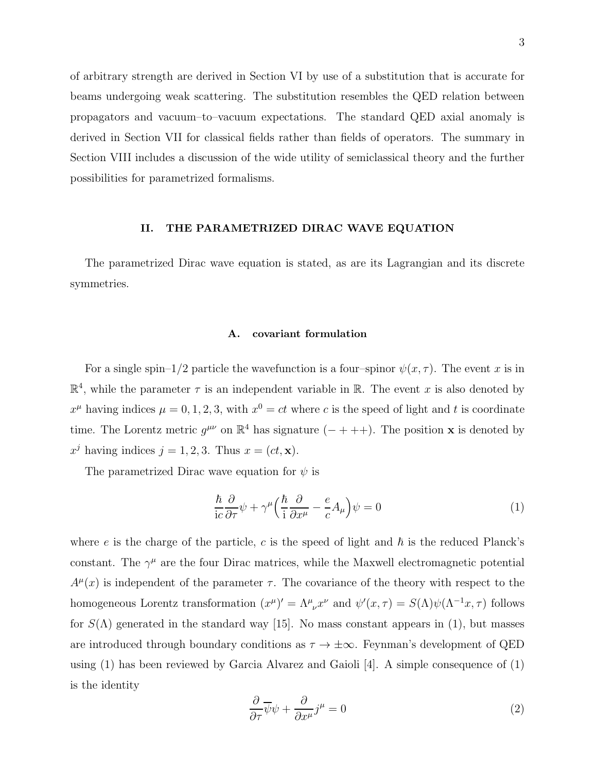of arbitrary strength are derived in Section VI by use of a substitution that is accurate for beams undergoing weak scattering. The substitution resembles the QED relation between propagators and vacuum–to–vacuum expectations. The standard QED axial anomaly is derived in Section VII for classical fields rather than fields of operators. The summary in Section VIII includes a discussion of the wide utility of semiclassical theory and the further possibilities for parametrized formalisms.

#### II. THE PARAMETRIZED DIRAC WAVE EQUATION

The parametrized Dirac wave equation is stated, as are its Lagrangian and its discrete symmetries.

#### A. covariant formulation

For a single spin–1/2 particle the wavefunction is a four–spinor  $\psi(x, \tau)$ . The event x is in  $\mathbb{R}^4$ , while the parameter  $\tau$  is an independent variable in  $\mathbb{R}$ . The event x is also denoted by  $x^{\mu}$  having indices  $\mu = 0, 1, 2, 3$ , with  $x^0 = ct$  where c is the speed of light and t is coordinate time. The Lorentz metric  $g^{\mu\nu}$  on  $\mathbb{R}^4$  has signature  $(- + + +)$ . The position **x** is denoted by  $x^j$  having indices  $j = 1, 2, 3$ . Thus  $x = (ct, \mathbf{x})$ .

The parametrized Dirac wave equation for  $\psi$  is

$$
\frac{\hbar}{ic}\frac{\partial}{\partial \tau}\psi + \gamma^{\mu}\Big(\frac{\hbar}{i}\frac{\partial}{\partial x^{\mu}} - \frac{e}{c}A_{\mu}\Big)\psi = 0
$$
\n(1)

where e is the charge of the particle, c is the speed of light and  $\hbar$  is the reduced Planck's constant. The  $\gamma^{\mu}$  are the four Dirac matrices, while the Maxwell electromagnetic potential  $A^{\mu}(x)$  is independent of the parameter  $\tau$ . The covariance of the theory with respect to the homogeneous Lorentz transformation  $(x^{\mu})' = \Lambda^{\mu}_{\ \nu} x^{\nu}$  and  $\psi'(x, \tau) = S(\Lambda)\psi(\Lambda^{-1}x, \tau)$  follows for  $S(\Lambda)$  generated in the standard way [15]. No mass constant appears in (1), but masses are introduced through boundary conditions as  $\tau \to \pm \infty$ . Feynman's development of QED using (1) has been reviewed by Garcia Alvarez and Gaioli [4]. A simple consequence of (1) is the identity

$$
\frac{\partial}{\partial \tau}\overline{\psi}\psi + \frac{\partial}{\partial x^{\mu}}j^{\mu} = 0
$$
\n(2)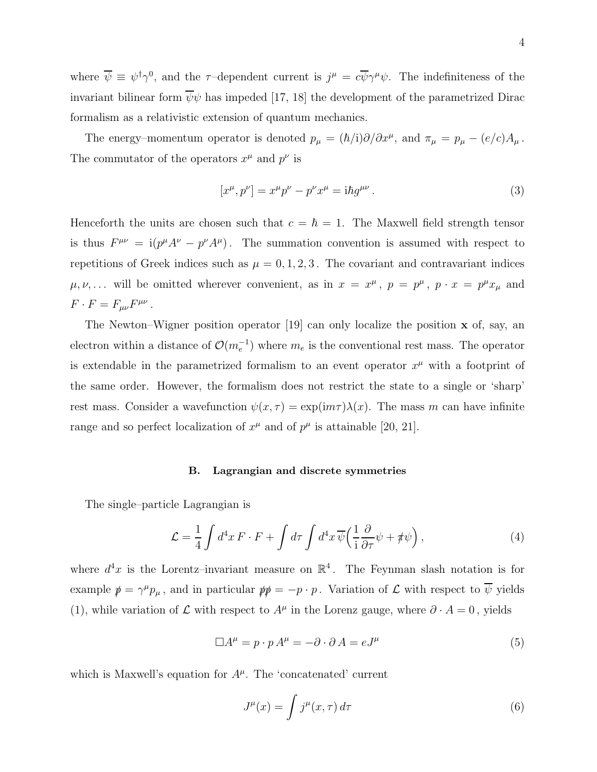where  $\overline{\psi} \equiv \psi^{\dagger} \gamma^{0}$ , and the  $\tau$ -dependent current is  $j^{\mu} = c \overline{\psi} \gamma^{\mu} \psi$ . The indefiniteness of the invariant bilinear form  $\overline{\psi}\psi$  has impeded [17, 18] the development of the parametrized Dirac formalism as a relativistic extension of quantum mechanics.

The energy–momentum operator is denoted  $p_{\mu} = (\hbar/i)\partial/\partial x^{\mu}$ , and  $\pi_{\mu} = p_{\mu} - (e/c)A_{\mu}$ . The commutator of the operators  $x^{\mu}$  and  $p^{\nu}$  is

$$
[x^{\mu}, p^{\nu}] = x^{\mu}p^{\nu} - p^{\nu}x^{\mu} = i\hbar g^{\mu\nu}.
$$
 (3)

Henceforth the units are chosen such that  $c = \hbar = 1$ . The Maxwell field strength tensor is thus  $F^{\mu\nu} = i(p^{\mu}A^{\nu} - p^{\nu}A^{\mu})$ . The summation convention is assumed with respect to repetitions of Greek indices such as  $\mu = 0, 1, 2, 3$ . The covariant and contravariant indices  $\mu, \nu, \ldots$  will be omitted wherever convenient, as in  $x = x^{\mu}$ ,  $p = p^{\mu}$ ,  $p \cdot x = p^{\mu} x_{\mu}$  and  $F \cdot F = F_{\mu\nu} F^{\mu\nu}$ .

The Newton–Wigner position operator [19] can only localize the position x of, say, an electron within a distance of  $\mathcal{O}(m_e^{-1})$  where  $m_e$  is the conventional rest mass. The operator is extendable in the parametrized formalism to an event operator  $x^{\mu}$  with a footprint of the same order. However, the formalism does not restrict the state to a single or 'sharp' rest mass. Consider a wavefunction  $\psi(x, \tau) = \exp(im\tau)\lambda(x)$ . The mass m can have infinite range and so perfect localization of  $x^{\mu}$  and of  $p^{\mu}$  is attainable [20, 21].

## B. Lagrangian and discrete symmetries

The single–particle Lagrangian is

$$
\mathcal{L} = \frac{1}{4} \int d^4x \, F \cdot F + \int d\tau \int d^4x \, \overline{\psi} \left( \frac{1}{i} \frac{\partial}{\partial \tau} \psi + \rlap{\,/} \psi \right), \tag{4}
$$

where  $d^4x$  is the Lorentz-invariant measure on  $\mathbb{R}^4$ . The Feynman slash notation is for example  $p \equiv \gamma^{\mu} p_{\mu}$ , and in particular  $p p = -p \cdot p$ . Variation of  $\mathcal{L}$  with respect to  $\overline{\psi}$  yields (1), while variation of  $\mathcal L$  with respect to  $A^{\mu}$  in the Lorenz gauge, where  $\partial \cdot A = 0$ , yields

$$
\Box A^{\mu} = p \cdot p A^{\mu} = -\partial \cdot \partial A = eJ^{\mu} \tag{5}
$$

which is Maxwell's equation for  $A^{\mu}$ . The 'concatenated' current

$$
J^{\mu}(x) = \int j^{\mu}(x,\tau) d\tau \tag{6}
$$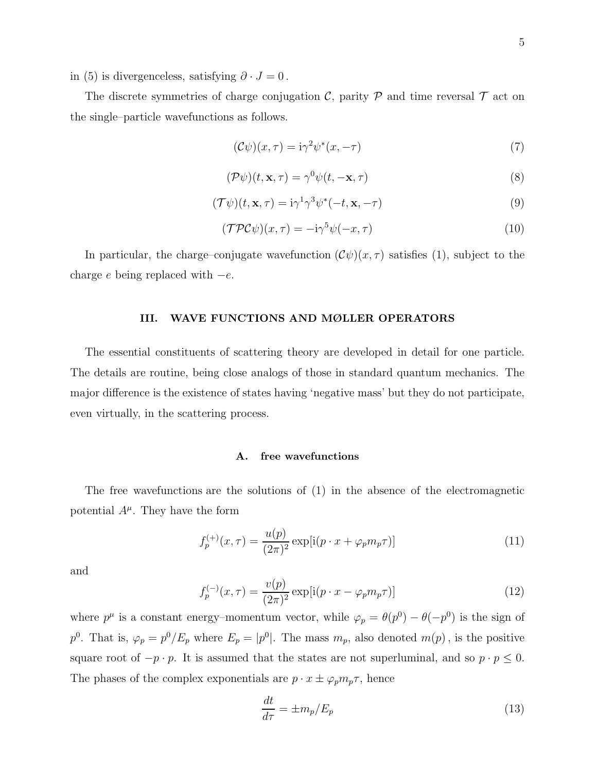in (5) is divergenceless, satisfying  $\partial \cdot J = 0$ .

The discrete symmetries of charge conjugation  $\mathcal{C}$ , parity  $\mathcal P$  and time reversal  $\mathcal T$  act on the single–particle wavefunctions as follows.

$$
(\mathcal{C}\psi)(x,\tau) = i\gamma^2 \psi^*(x,-\tau) \tag{7}
$$

$$
(\mathcal{P}\psi)(t,\mathbf{x},\tau) = \gamma^0 \psi(t,-\mathbf{x},\tau)
$$
\n(8)

$$
(\mathcal{T}\psi)(t,\mathbf{x},\tau) = i\gamma^1\gamma^3\psi^*(-t,\mathbf{x},-\tau)
$$
\n(9)

$$
(\mathcal{TPC}\psi)(x,\tau) = -i\gamma^5\psi(-x,\tau) \tag{10}
$$

In particular, the charge–conjugate wavefunction  $(\mathcal{C}\psi)(x,\tau)$  satisfies (1), subject to the charge e being replaced with  $-e$ .

## III. WAVE FUNCTIONS AND MØLLER OPERATORS

The essential constituents of scattering theory are developed in detail for one particle. The details are routine, being close analogs of those in standard quantum mechanics. The major difference is the existence of states having 'negative mass' but they do not participate, even virtually, in the scattering process.

## A. free wavefunctions

The free wavefunctions are the solutions of (1) in the absence of the electromagnetic potential  $A^{\mu}$ . They have the form

$$
f_p^{(+)}(x,\tau) = \frac{u(p)}{(2\pi)^2} \exp[i(p \cdot x + \varphi_p m_p \tau)] \tag{11}
$$

and

$$
f_p^{(-)}(x,\tau) = \frac{v(p)}{(2\pi)^2} \exp[i(p \cdot x - \varphi_p m_p \tau)]
$$
 (12)

where  $p^{\mu}$  is a constant energy–momentum vector, while  $\varphi_p = \theta(p^0) - \theta(-p^0)$  is the sign of  $p^0$ . That is,  $\varphi_p = p^0/E_p$  where  $E_p = |p^0|$ . The mass  $m_p$ , also denoted  $m(p)$ , is the positive square root of  $-p \cdot p$ . It is assumed that the states are not superluminal, and so  $p \cdot p \leq 0$ . The phases of the complex exponentials are  $p \cdot x \pm \varphi_p m_p \tau$ , hence

$$
\frac{dt}{d\tau} = \pm m_p / E_p \tag{13}
$$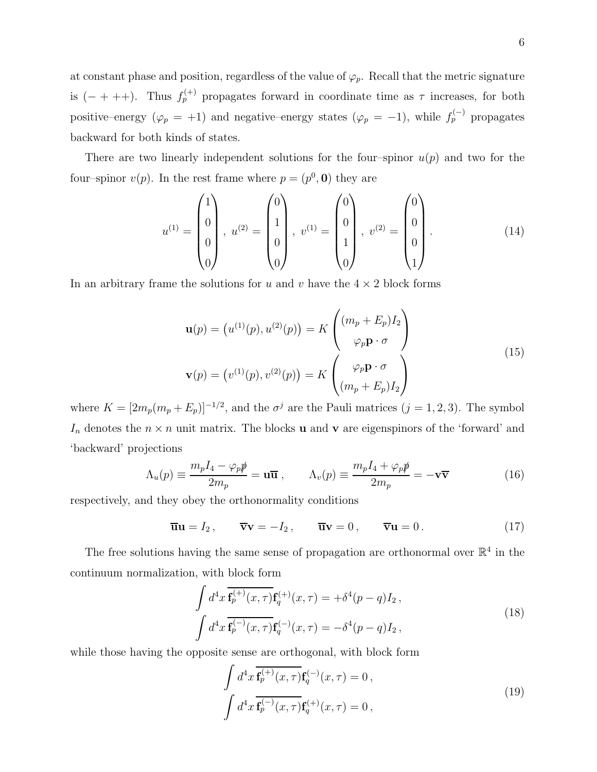at constant phase and position, regardless of the value of  $\varphi_p$ . Recall that the metric signature is  $(- + + +)$ . Thus  $f_p^{(+)}$  propagates forward in coordinate time as  $\tau$  increases, for both positive–energy  $(\varphi_p = +1)$  and negative–energy states  $(\varphi_p = -1)$ , while  $f_p^{(-)}$  propagates backward for both kinds of states.

There are two linearly independent solutions for the four–spinor  $u(p)$  and two for the four-spinor  $v(p)$ . In the rest frame where  $p = (p^0, 0)$  they are

$$
u^{(1)} = \begin{pmatrix} 1 \\ 0 \\ 0 \\ 0 \end{pmatrix}, u^{(2)} = \begin{pmatrix} 0 \\ 1 \\ 0 \\ 0 \end{pmatrix}, v^{(1)} = \begin{pmatrix} 0 \\ 0 \\ 1 \\ 0 \end{pmatrix}, v^{(2)} = \begin{pmatrix} 0 \\ 0 \\ 0 \\ 1 \end{pmatrix}.
$$
 (14)

In an arbitrary frame the solutions for u and v have the  $4 \times 2$  block forms

$$
\mathbf{u}(p) = (u^{(1)}(p), u^{(2)}(p)) = K \begin{pmatrix} (m_p + E_p)I_2 \\ \varphi_p \mathbf{p} \cdot \sigma \end{pmatrix}
$$
  

$$
\mathbf{v}(p) = (v^{(1)}(p), v^{(2)}(p)) = K \begin{pmatrix} \varphi_p \mathbf{p} \cdot \sigma \\ (m_p + E_p)I_2 \end{pmatrix}
$$
 (15)

where  $K = [2m_p(m_p + E_p)]^{-1/2}$ , and the  $\sigma^j$  are the Pauli matrices  $(j = 1, 2, 3)$ . The symbol  $I_n$  denotes the  $n \times n$  unit matrix. The blocks **u** and **v** are eigenspinors of the 'forward' and 'backward' projections

$$
\Lambda_u(p) \equiv \frac{m_p I_4 - \varphi_p \psi}{2m_p} = \mathbf{u} \overline{\mathbf{u}} \,, \qquad \Lambda_v(p) \equiv \frac{m_p I_4 + \varphi_p \psi}{2m_p} = -\mathbf{v} \overline{\mathbf{v}} \tag{16}
$$

respectively, and they obey the orthonormality conditions

$$
\overline{\mathbf{u}}\mathbf{u} = I_2, \qquad \overline{\mathbf{v}}\mathbf{v} = -I_2, \qquad \overline{\mathbf{u}}\mathbf{v} = 0, \qquad \overline{\mathbf{v}}\mathbf{u} = 0. \tag{17}
$$

The free solutions having the same sense of propagation are orthonormal over  $\mathbb{R}^4$  in the continuum normalization, with block form

$$
\int d^4x \overline{\mathbf{f}_p^{(+)}(x,\tau)} \mathbf{f}_q^{(+)}(x,\tau) = +\delta^4(p-q)I_2 ,
$$
\n
$$
\int d^4x \overline{\mathbf{f}_p^{(-)}(x,\tau)} \mathbf{f}_q^{(-)}(x,\tau) = -\delta^4(p-q)I_2 ,
$$
\n(18)

while those having the opposite sense are orthogonal, with block form

$$
\int d^4x \, \overline{\mathbf{f}_p^{(+)}(x,\tau)} \mathbf{f}_q^{(-)}(x,\tau) = 0 ,
$$
\n
$$
\int d^4x \, \overline{\mathbf{f}_p^{(-)}(x,\tau)} \mathbf{f}_q^{(+)}(x,\tau) = 0 ,
$$
\n(19)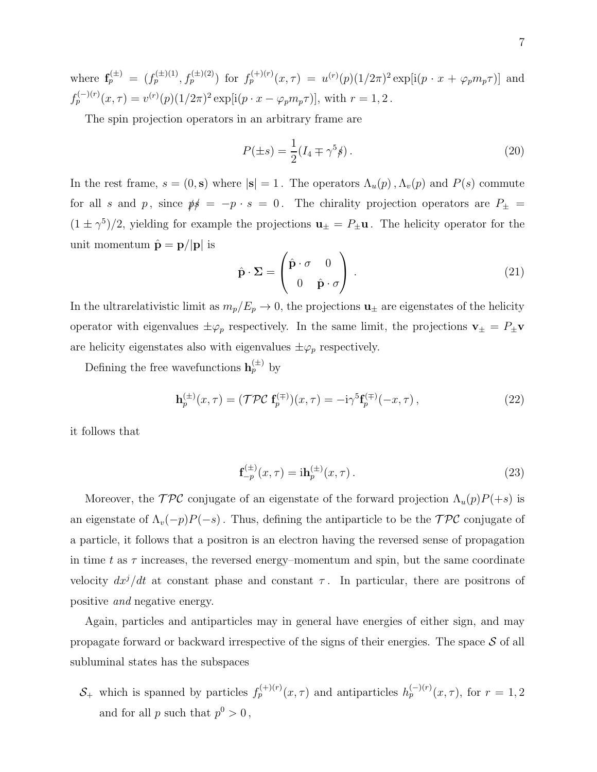where  $\mathbf{f}_p^{(\pm)} = (f_p^{(\pm)(1)}, f_p^{(\pm)(2)})$  for  $f_p^{(+)(r)}(x, \tau) = u^{(r)}(p)(1/2\pi)^2 \exp[i(p \cdot x + \varphi_p m_p \tau)]$  and  $f_p^{(-)(r)}(x,\tau) = v^{(r)}(p)(1/2\pi)^2 \exp[i(p \cdot x - \varphi_p m_p \tau)],$  with  $r = 1, 2$ .

The spin projection operators in an arbitrary frame are

$$
P(\pm s) = \frac{1}{2} (I_4 \mp \gamma^5 \rlap{/} s) \,. \tag{20}
$$

In the rest frame,  $s = (0, s)$  where  $|s| = 1$ . The operators  $\Lambda_u(p)$ ,  $\Lambda_v(p)$  and  $P(s)$  commute for all s and p, since  $\psi$  = -p · s = 0. The chirality projection operators are  $P_{\pm}$  =  $(1 \pm \gamma^5)/2$ , yielding for example the projections  $\mathbf{u}_{\pm} = P_{\pm} \mathbf{u}$ . The helicity operator for the unit momentum  $\hat{\mathbf{p}} = \mathbf{p}/|\mathbf{p}|$  is

$$
\hat{\mathbf{p}} \cdot \mathbf{\Sigma} = \begin{pmatrix} \hat{\mathbf{p}} \cdot \boldsymbol{\sigma} & 0 \\ 0 & \hat{\mathbf{p}} \cdot \boldsymbol{\sigma} \end{pmatrix} . \tag{21}
$$

In the ultrarelativistic limit as  $m_p/E_p \to 0$ , the projections  $\mathbf{u}_{\pm}$  are eigenstates of the helicity operator with eigenvalues  $\pm \varphi_p$  respectively. In the same limit, the projections  $\mathbf{v}_{\pm} = P_{\pm} \mathbf{v}$ are helicity eigenstates also with eigenvalues  $\pm \varphi_p$  respectively.

Defining the free wavefunctions  $\mathbf{h}_p^{(\pm)}$  by

$$
\mathbf{h}_p^{(\pm)}(x,\tau) = (\mathcal{TPC} \mathbf{f}_p^{(\mp)})(x,\tau) = -\mathrm{i}\gamma^5 \mathbf{f}_p^{(\mp)}(-x,\tau) \,,\tag{22}
$$

it follows that

$$
\mathbf{f}_{-p}^{(\pm)}(x,\tau) = i\mathbf{h}_{p}^{(\pm)}(x,\tau). \tag{23}
$$

Moreover, the  $\mathcal{TPC}$  conjugate of an eigenstate of the forward projection  $\Lambda_u(p)P(+s)$  is an eigenstate of  $\Lambda_v(-p)P(-s)$ . Thus, defining the antiparticle to be the  $\mathcal{TPC}$  conjugate of a particle, it follows that a positron is an electron having the reversed sense of propagation in time t as  $\tau$  increases, the reversed energy–momentum and spin, but the same coordinate velocity  $dx^j/dt$  at constant phase and constant  $\tau$ . In particular, there are positrons of positive and negative energy.

Again, particles and antiparticles may in general have energies of either sign, and may propagate forward or backward irrespective of the signs of their energies. The space  $S$  of all subluminal states has the subspaces

 $S_+$  which is spanned by particles  $f_p^{(+)(r)}(x,\tau)$  and antiparticles  $h_p^{(-)(r)}(x,\tau)$ , for  $r=1,2$ and for all p such that  $p^0 > 0$ ,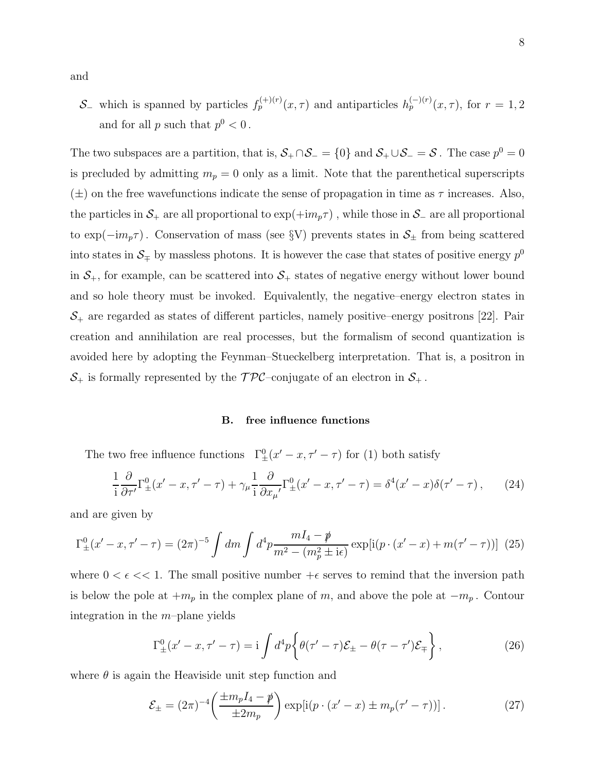and

S<sub>−</sub> which is spanned by particles  $f_p^{(+)(r)}(x, \tau)$  and antiparticles  $h_p^{(-)(r)}(x, \tau)$ , for  $r = 1, 2$ and for all  $p$  such that  $p^0 < 0$ .

The two subspaces are a partition, that is,  $S_+ \cap S_- = \{0\}$  and  $S_+ \cup S_- = S$ . The case  $p^0 = 0$ is precluded by admitting  $m_p = 0$  only as a limit. Note that the parenthetical superscripts  $(\pm)$  on the free wavefunctions indicate the sense of propagation in time as  $\tau$  increases. Also, the particles in  $S_+$  are all proportional to  $\exp(+im_p\tau)$ , while those in  $S_-$  are all proportional to exp( $-im_p\tau$ ). Conservation of mass (see §V) prevents states in  $S_{\pm}$  from being scattered into states in  $\mathcal{S}_\mp$  by massless photons. It is however the case that states of positive energy  $p^0$ in  $S_+$ , for example, can be scattered into  $S_+$  states of negative energy without lower bound and so hole theory must be invoked. Equivalently, the negative–energy electron states in  $S_+$  are regarded as states of different particles, namely positive–energy positrons [22]. Pair creation and annihilation are real processes, but the formalism of second quantization is avoided here by adopting the Feynman–Stueckelberg interpretation. That is, a positron in  $S_+$  is formally represented by the  $\mathcal{TPC}$ -conjugate of an electron in  $S_+$ .

## B. free influence functions

The two free influence functions  $\Gamma_{\pm}^{0}(x'-x,\tau'-\tau)$  for (1) both satisfy

$$
\frac{1}{i}\frac{\partial}{\partial \tau'}\Gamma^0_{\pm}(x'-x,\tau'-\tau)+\gamma_\mu\frac{1}{i}\frac{\partial}{\partial x_\mu'}\Gamma^0_{\pm}(x'-x,\tau'-\tau)=\delta^4(x'-x)\delta(\tau'-\tau)\,,\qquad(24)
$$

and are given by

$$
\Gamma_{\pm}^{0}(x'-x,\tau'-\tau) = (2\pi)^{-5} \int dm \int d^{4}p \frac{mI_{4} - p}{m^{2} - (m_{p}^{2} \pm i\epsilon)} \exp[i(p \cdot (x'-x) + m(\tau'-\tau))] \tag{25}
$$

where  $0 < \epsilon \ll 1$ . The small positive number  $+\epsilon$  serves to remind that the inversion path is below the pole at  $+m_p$  in the complex plane of m, and above the pole at  $-m_p$ . Contour integration in the  $m$ -plane yields

$$
\Gamma^0_{\pm}(x'-x,\tau'-\tau) = i \int d^4p \left\{ \theta(\tau'-\tau) \mathcal{E}_{\pm} - \theta(\tau-\tau') \mathcal{E}_{\mp} \right\},\tag{26}
$$

where  $\theta$  is again the Heaviside unit step function and

$$
\mathcal{E}_{\pm} = (2\pi)^{-4} \left( \frac{\pm m_p I_4 - \rlap{\,/}{p}}{\pm 2m_p} \right) \exp[i(p \cdot (x' - x) \pm m_p(\tau' - \tau))]. \tag{27}
$$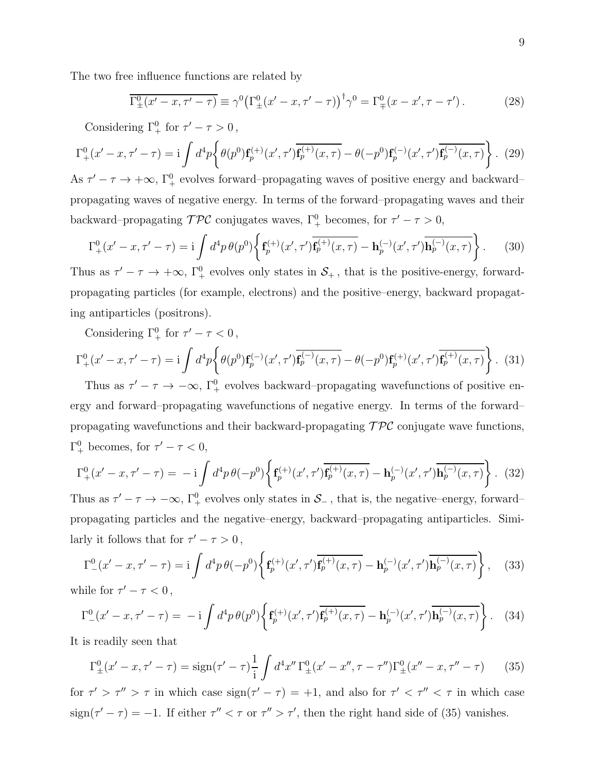The two free influence functions are related by

$$
\overline{\Gamma^0_{\pm}(x'-x,\tau'-\tau)} \equiv \gamma^0 \big(\Gamma^0_{\pm}(x'-x,\tau'-\tau)\big)^{\dagger} \gamma^0 = \Gamma^0_{\mp}(x-x',\tau-\tau'). \tag{28}
$$

Considering  $\Gamma^0_+$  for  $\tau' - \tau > 0$ ,

$$
\Gamma_{+}^{0}(x'-x,\tau'-\tau) = i \int d^{4}p \left\{ \theta(p^{0}) \mathbf{f}_{p}^{(+)}(x',\tau') \overline{\mathbf{f}_{p}^{(+)}(x,\tau)} - \theta(-p^{0}) \mathbf{f}_{p}^{(-)}(x',\tau') \overline{\mathbf{f}_{p}^{(-)}(x,\tau)} \right\}.
$$
 (29)

As  $\tau' - \tau \to +\infty$ ,  $\Gamma^0_+$  evolves forward–propagating waves of positive energy and backward– propagating waves of negative energy. In terms of the forward–propagating waves and their backward–propagating  $\mathcal{TPC}$  conjugates waves,  $\Gamma^0_+$  becomes, for  $\tau' - \tau > 0$ ,

$$
\Gamma_{+}^{0}(x'-x,\tau'-\tau) = i \int d^{4}p \,\theta(p^{0}) \left\{ \mathbf{f}_{p}^{(+)}(x',\tau') \overline{\mathbf{f}_{p}^{(+)}(x,\tau)} - \mathbf{h}_{p}^{(-)}(x',\tau') \overline{\mathbf{h}_{p}^{(-)}(x,\tau)} \right\}.
$$
 (30)

Thus as  $\tau' - \tau \to +\infty$ ,  $\Gamma^0_+$  evolves only states in  $S_+$ , that is the positive-energy, forwardpropagating particles (for example, electrons) and the positive–energy, backward propagating antiparticles (positrons).

Considering  $\Gamma^0_+$  for  $\tau' - \tau < 0$ ,

$$
\Gamma_{+}^{0}(x'-x,\tau'-\tau) = i \int d^{4}p \left\{ \theta(p^{0}) \mathbf{f}_{p}^{(-)}(x',\tau') \overline{\mathbf{f}_{p}^{(-)}(x,\tau)} - \theta(-p^{0}) \mathbf{f}_{p}^{(+)}(x',\tau') \overline{\mathbf{f}_{p}^{(+)}(x,\tau)} \right\}.
$$
 (31)

Thus as  $\tau' - \tau \to -\infty$ ,  $\Gamma^0_+$  evolves backward–propagating wavefunctions of positive energy and forward–propagating wavefunctions of negative energy. In terms of the forward– propagating wavefunctions and their backward-propagating  $\mathcal{TPC}$  conjugate wave functions,  $\Gamma^0_+$  becomes, for  $\tau' - \tau < 0$ ,

$$
\Gamma_{+}^{0}(x'-x,\tau'-\tau) = -i \int d^{4}p \,\theta(-p^{0}) \left\{ \mathbf{f}_{p}^{(+)}(x',\tau') \overline{\mathbf{f}_{p}^{(+)}(x,\tau)} - \mathbf{h}_{p}^{(-)}(x',\tau') \overline{\mathbf{h}_{p}^{(-)}(x,\tau)} \right\} . \tag{32}
$$

Thus as  $\tau' - \tau \to -\infty$ ,  $\Gamma^0_+$  evolves only states in  $\mathcal{S}_-$ , that is, the negative–energy, forward– propagating particles and the negative–energy, backward–propagating antiparticles. Similarly it follows that for  $\tau' - \tau > 0$ ,

$$
\Gamma_{-}^{0}(x'-x,\tau'-\tau) = i \int d^{4}p \,\theta(-p^{0}) \left\{ \mathbf{f}_{p}^{(+)}(x',\tau') \overline{\mathbf{f}_{p}^{(+)}(x,\tau)} - \mathbf{h}_{p}^{(-)}(x',\tau') \overline{\mathbf{h}_{p}^{(-)}(x,\tau)} \right\}, \quad (33)
$$
\nwhile for  $\tau' - \tau < 0$ ,

$$
\Gamma_{-}^{0}(x'-x,\tau'-\tau) = -i \int d^{4}p \,\theta(p^{0}) \left\{ \mathbf{f}_{p}^{(+)}(x',\tau') \overline{\mathbf{f}_{p}^{(+)}(x,\tau)} - \mathbf{h}_{p}^{(-)}(x',\tau') \overline{\mathbf{h}_{p}^{(-)}(x,\tau)} \right\}.
$$
 (34)

It is readily seen that

$$
\Gamma^0_{\pm}(x'-x,\tau'-\tau) = \text{sign}(\tau'-\tau)\frac{1}{i}\int d^4x''\,\Gamma^0_{\pm}(x'-x'',\tau-\tau'')\Gamma^0_{\pm}(x''-x,\tau''-\tau) \qquad (35)
$$

for  $\tau' > \tau'' > \tau$  in which case  $sign(\tau' - \tau) = +1$ , and also for  $\tau' < \tau'' < \tau$  in which case  $sign(\tau' - \tau) = -1$ . If either  $\tau'' < \tau$  or  $\tau'' > \tau'$ , then the right hand side of (35) vanishes.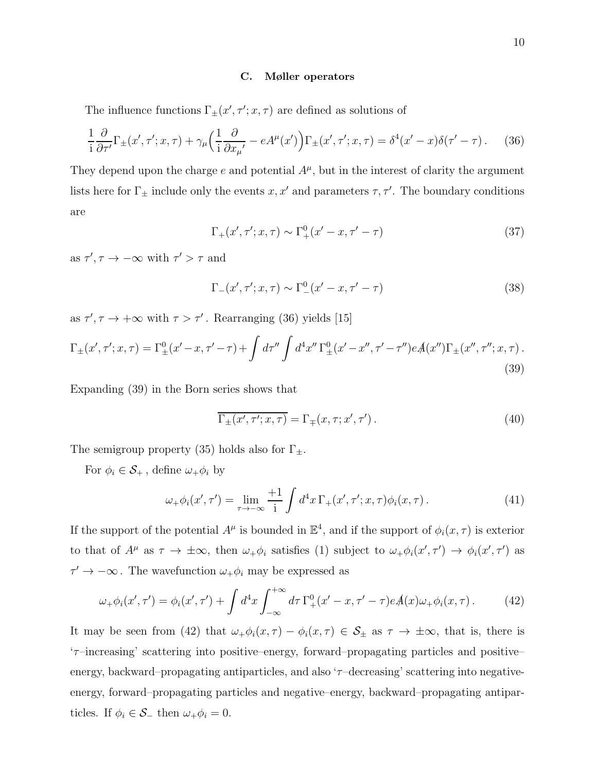#### C. Møller operators

The influence functions  $\Gamma_{\pm}(x', \tau'; x, \tau)$  are defined as solutions of

$$
\frac{1}{i}\frac{\partial}{\partial \tau'}\Gamma_{\pm}(x',\tau';x,\tau) + \gamma_{\mu}\Big(\frac{1}{i}\frac{\partial}{\partial x_{\mu'}} - eA^{\mu}(x')\Big)\Gamma_{\pm}(x',\tau';x,\tau) = \delta^{4}(x'-x)\delta(\tau'-\tau). \tag{36}
$$

They depend upon the charge  $e$  and potential  $A^{\mu}$ , but in the interest of clarity the argument lists here for  $\Gamma_{\pm}$  include only the events x, x' and parameters  $\tau$ ,  $\tau'$ . The boundary conditions are

$$
\Gamma_{+}(x', \tau'; x, \tau) \sim \Gamma_{+}^{0}(x' - x, \tau' - \tau)
$$
\n(37)

as  $\tau', \tau \to -\infty$  with  $\tau' > \tau$  and

$$
\Gamma_{-}(x', \tau'; x, \tau) \sim \Gamma_{-}^{0}(x' - x, \tau' - \tau)
$$
\n(38)

as  $\tau', \tau \to +\infty$  with  $\tau > \tau'$ . Rearranging (36) yields [15]

$$
\Gamma_{\pm}(x',\tau';x,\tau) = \Gamma_{\pm}^{0}(x'-x,\tau'-\tau) + \int d\tau'' \int d^{4}x'' \Gamma_{\pm}^{0}(x'-x'',\tau'-\tau'') eA(x'') \Gamma_{\pm}(x'',\tau'';x,\tau) .
$$
\n(39)

Expanding (39) in the Born series shows that

$$
\overline{\Gamma_{\pm}(x',\tau';x,\tau)} = \Gamma_{\mp}(x,\tau;x',\tau'). \tag{40}
$$

The semigroup property (35) holds also for  $\Gamma_{\pm}$ .

For  $\phi_i \in \mathcal{S}_+$ , define  $\omega_+ \phi_i$  by

$$
\omega_+\phi_i(x',\tau') = \lim_{\tau \to -\infty} \frac{+1}{i} \int d^4x \,\Gamma_+(x',\tau';x,\tau)\phi_i(x,\tau) \,. \tag{41}
$$

If the support of the potential  $A^{\mu}$  is bounded in  $\mathbb{E}^{4}$ , and if the support of  $\phi_{i}(x,\tau)$  is exterior to that of  $A^{\mu}$  as  $\tau \to \pm \infty$ , then  $\omega_+\phi_i$  satisfies (1) subject to  $\omega_+\phi_i(x',\tau') \to \phi_i(x',\tau')$  as  $\tau' \to -\infty$ . The wavefunction  $\omega_+\phi_i$  may be expressed as

$$
\omega_{+}\phi_{i}(x',\tau') = \phi_{i}(x',\tau') + \int d^{4}x \int_{-\infty}^{+\infty} d\tau \,\Gamma_{+}^{0}(x'-x,\tau'-\tau)eA(x)\omega_{+}\phi_{i}(x,\tau). \tag{42}
$$

It may be seen from (42) that  $\omega_+\phi_i(x,\tau) - \phi_i(x,\tau) \in \mathcal{S}_\pm$  as  $\tau \to \pm \infty$ , that is, there is 'τ–increasing' scattering into positive–energy, forward–propagating particles and positive– energy, backward–propagating antiparticles, and also  $\tau$ –decreasing' scattering into negativeenergy, forward–propagating particles and negative–energy, backward–propagating antiparticles. If  $\phi_i \in \mathcal{S}_-$  then  $\omega_+ \phi_i = 0$ .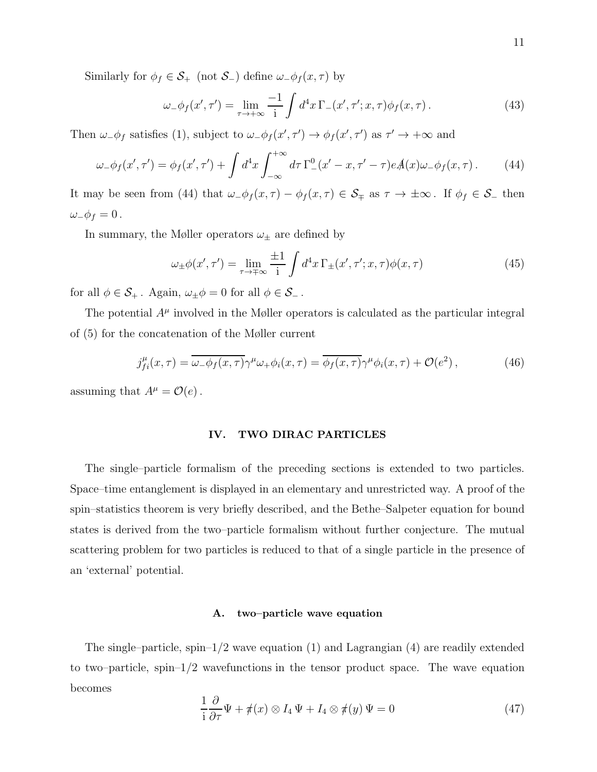Similarly for  $\phi_f \in \mathcal{S}_+$  (not  $\mathcal{S}_-$ ) define  $\omega_{-\phi_f}(x, \tau)$  by

$$
\omega_{-}\phi_{f}(x',\tau') = \lim_{\tau \to +\infty} \frac{-1}{i} \int d^{4}x \,\Gamma_{-}(x',\tau';x,\tau)\phi_{f}(x,\tau). \tag{43}
$$

Then  $\omega_{-}\phi_{f}$  satisfies (1), subject to  $\omega_{-}\phi_{f}(x',\tau') \to \phi_{f}(x',\tau')$  as  $\tau' \to +\infty$  and

$$
\omega_{-}\phi_{f}(x',\tau') = \phi_{f}(x',\tau') + \int d^{4}x \int_{-\infty}^{+\infty} d\tau \Gamma_{-}^{0}(x'-x,\tau'-\tau)eA(x)\omega_{-}\phi_{f}(x,\tau). \tag{44}
$$

It may be seen from (44) that  $\omega_{-}\phi_f(x,\tau) - \phi_f(x,\tau) \in \mathcal{S}_{\mp}$  as  $\tau \to \pm \infty$ . If  $\phi_f \in \mathcal{S}_{-}$  then  $\omega_-\phi_f=0$ .

In summary, the Møller operators  $\omega_{\pm}$  are defined by

$$
\omega_{\pm}\phi(x',\tau') = \lim_{\tau \to \mp\infty} \frac{\pm 1}{i} \int d^4x \,\Gamma_{\pm}(x',\tau';x,\tau)\phi(x,\tau) \tag{45}
$$

for all  $\phi \in \mathcal{S}_+$ . Again,  $\omega_{\pm} \phi = 0$  for all  $\phi \in \mathcal{S}_-$ .

The potential  $A^{\mu}$  involved in the Møller operators is calculated as the particular integral of (5) for the concatenation of the Møller current

$$
j_{fi}^{\mu}(x,\tau) = \overline{\omega_{-}\phi_{f}(x,\tau)}\gamma^{\mu}\omega_{+}\phi_{i}(x,\tau) = \overline{\phi_{f}(x,\tau)}\gamma^{\mu}\phi_{i}(x,\tau) + \mathcal{O}(e^{2}), \qquad (46)
$$

assuming that  $A^{\mu} = \mathcal{O}(e)$ .

## IV. TWO DIRAC PARTICLES

The single–particle formalism of the preceding sections is extended to two particles. Space–time entanglement is displayed in an elementary and unrestricted way. A proof of the spin–statistics theorem is very briefly described, and the Bethe–Salpeter equation for bound states is derived from the two–particle formalism without further conjecture. The mutual scattering problem for two particles is reduced to that of a single particle in the presence of an 'external' potential.

## A. two–particle wave equation

The single–particle, spin– $1/2$  wave equation (1) and Lagrangian (4) are readily extended to two–particle, spin– $1/2$  wavefunctions in the tensor product space. The wave equation becomes

$$
\frac{1}{i}\frac{\partial}{\partial \tau}\Psi + \pi(x) \otimes I_4 \Psi + I_4 \otimes \pi(y) \Psi = 0
$$
\n(47)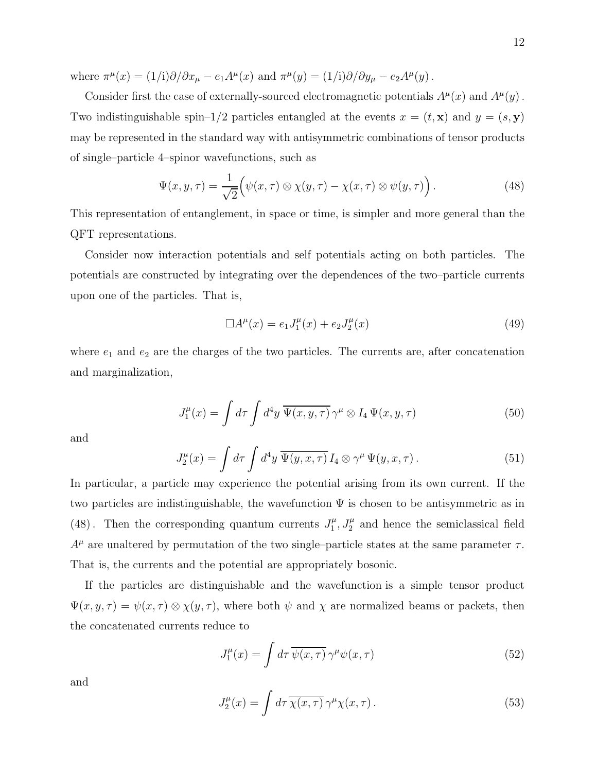where  $\pi^{\mu}(x) = (1/i)\partial/\partial x_{\mu} - e_1 A^{\mu}(x)$  and  $\pi^{\mu}(y) = (1/i)\partial/\partial y_{\mu} - e_2 A^{\mu}(y)$ .

Consider first the case of externally-sourced electromagnetic potentials  $A^{\mu}(x)$  and  $A^{\mu}(y)$ . Two indistinguishable spin–1/2 particles entangled at the events  $x = (t, \mathbf{x})$  and  $y = (s, \mathbf{y})$ may be represented in the standard way with antisymmetric combinations of tensor products of single–particle 4–spinor wavefunctions, such as

$$
\Psi(x, y, \tau) = \frac{1}{\sqrt{2}} \Big( \psi(x, \tau) \otimes \chi(y, \tau) - \chi(x, \tau) \otimes \psi(y, \tau) \Big). \tag{48}
$$

This representation of entanglement, in space or time, is simpler and more general than the QFT representations.

Consider now interaction potentials and self potentials acting on both particles. The potentials are constructed by integrating over the dependences of the two–particle currents upon one of the particles. That is,

$$
\Box A^{\mu}(x) = e_1 J_1^{\mu}(x) + e_2 J_2^{\mu}(x)
$$
\n(49)

where  $e_1$  and  $e_2$  are the charges of the two particles. The currents are, after concatenation and marginalization,

$$
J_1^{\mu}(x) = \int d\tau \int d^4y \, \overline{\Psi(x, y, \tau)} \, \gamma^{\mu} \otimes I_4 \, \Psi(x, y, \tau) \tag{50}
$$

and

$$
J_2^{\mu}(x) = \int d\tau \int d^4y \, \overline{\Psi(y, x, \tau)} I_4 \otimes \gamma^{\mu} \Psi(y, x, \tau).
$$
 (51)

In particular, a particle may experience the potential arising from its own current. If the two particles are indistinguishable, the wavefunction  $\Psi$  is chosen to be antisymmetric as in (48). Then the corresponding quantum currents  $J_1^{\mu}$  $J_1^{\mu}, J_2^{\mu}$  and hence the semiclassical field  $A^{\mu}$  are unaltered by permutation of the two single–particle states at the same parameter  $\tau$ . That is, the currents and the potential are appropriately bosonic.

If the particles are distinguishable and the wavefunction is a simple tensor product  $\Psi(x, y, \tau) = \psi(x, \tau) \otimes \chi(y, \tau)$ , where both  $\psi$  and  $\chi$  are normalized beams or packets, then the concatenated currents reduce to

$$
J_1^{\mu}(x) = \int d\tau \,\overline{\psi(x,\tau)} \,\gamma^{\mu}\psi(x,\tau) \tag{52}
$$

and

$$
J_2^{\mu}(x) = \int d\tau \, \overline{\chi(x,\tau)} \, \gamma^{\mu} \chi(x,\tau) \,. \tag{53}
$$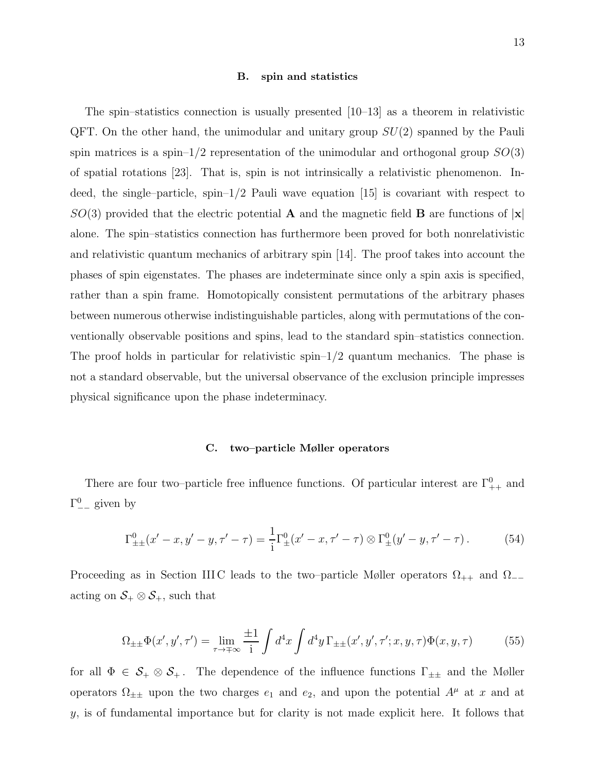#### B. spin and statistics

The spin–statistics connection is usually presented [10–13] as a theorem in relativistic QFT. On the other hand, the unimodular and unitary group  $SU(2)$  spanned by the Pauli spin matrices is a spin–1/2 representation of the unimodular and orthogonal group  $SO(3)$ of spatial rotations [23]. That is, spin is not intrinsically a relativistic phenomenon. Indeed, the single–particle,  $\text{spin-1/2}$  Pauli wave equation [15] is covariant with respect to  $SO(3)$  provided that the electric potential **A** and the magnetic field **B** are functions of  $|\mathbf{x}|$ alone. The spin–statistics connection has furthermore been proved for both nonrelativistic and relativistic quantum mechanics of arbitrary spin [14]. The proof takes into account the phases of spin eigenstates. The phases are indeterminate since only a spin axis is specified, rather than a spin frame. Homotopically consistent permutations of the arbitrary phases between numerous otherwise indistinguishable particles, along with permutations of the conventionally observable positions and spins, lead to the standard spin–statistics connection. The proof holds in particular for relativistic spin– $1/2$  quantum mechanics. The phase is not a standard observable, but the universal observance of the exclusion principle impresses physical significance upon the phase indeterminacy.

#### C. two–particle Møller operators

There are four two–particle free influence functions. Of particular interest are  $\Gamma^0_{++}$  and  $\Gamma^0_{--}$  given by

$$
\Gamma^{0}_{\pm\pm}(x'-x,y'-y,\tau'-\tau) = \frac{1}{i}\Gamma^{0}_{\pm}(x'-x,\tau'-\tau)\otimes\Gamma^{0}_{\pm}(y'-y,\tau'-\tau). \tag{54}
$$

Proceeding as in Section IIIC leads to the two–particle Møller operators  $\Omega_{++}$  and  $\Omega_{--}$ acting on  $S_+ \otimes S_+$ , such that

$$
\Omega_{\pm\pm}\Phi(x',y',\tau') = \lim_{\tau \to \mp\infty} \frac{\pm 1}{i} \int d^4x \int d^4y \,\Gamma_{\pm\pm}(x',y',\tau';x,y,\tau)\Phi(x,y,\tau) \tag{55}
$$

for all  $\Phi \in \mathcal{S}_+ \otimes \mathcal{S}_+$ . The dependence of the influence functions  $\Gamma_{\pm\pm}$  and the Møller operators  $\Omega_{\pm\pm}$  upon the two charges  $e_1$  and  $e_2$ , and upon the potential  $A^{\mu}$  at x and at  $y$ , is of fundamental importance but for clarity is not made explicit here. It follows that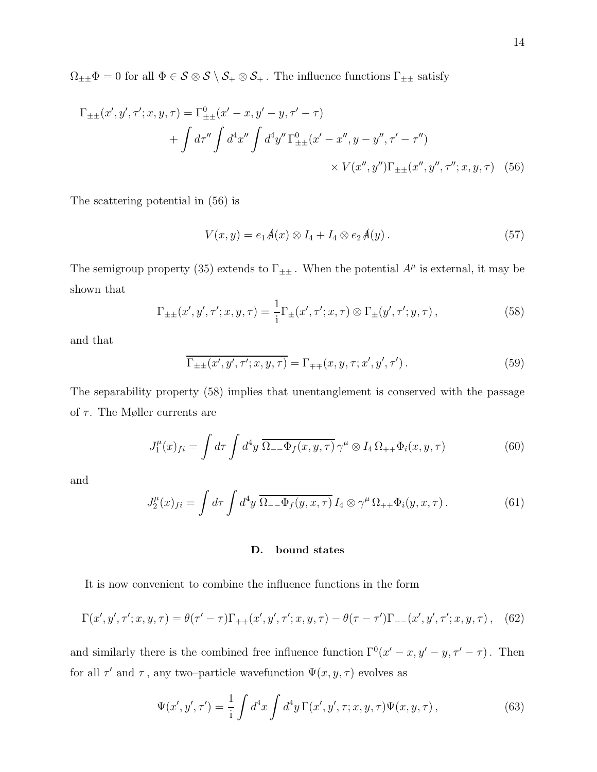$\Omega_{\pm\pm}\Phi=0$  for all  $\Phi\in\mathcal{S}\otimes\mathcal{S}\setminus\mathcal{S}_+\otimes\mathcal{S}_+$  . The influence functions  $\Gamma_{\pm\pm}$  satisfy

$$
\Gamma_{\pm\pm}(x', y', \tau'; x, y, \tau) = \Gamma^0_{\pm\pm}(x' - x, y' - y, \tau' - \tau)
$$
  
+ 
$$
\int d\tau'' \int d^4x'' \int d^4y'' \Gamma^0_{\pm\pm}(x' - x'', y - y'', \tau' - \tau'')
$$
  
× 
$$
V(x'', y'') \Gamma_{\pm\pm}(x'', y'', \tau''; x, y, \tau)
$$
 (56)

The scattering potential in (56) is

$$
V(x,y) = e_1 A(x) \otimes I_4 + I_4 \otimes e_2 A(y).
$$
 (57)

The semigroup property (35) extends to  $\Gamma_{\pm\pm}$ . When the potential  $A^{\mu}$  is external, it may be shown that

$$
\Gamma_{\pm\pm}(x', y', \tau'; x, y, \tau) = \frac{1}{i} \Gamma_{\pm}(x', \tau'; x, \tau) \otimes \Gamma_{\pm}(y', \tau'; y, \tau) , \qquad (58)
$$

and that

$$
\overline{\Gamma_{\pm\pm}(x',y',\tau';x,y,\tau)} = \Gamma_{\mp\mp}(x,y,\tau;x',y',\tau'). \tag{59}
$$

The separability property (58) implies that unentanglement is conserved with the passage of  $\tau$ . The Møller currents are

$$
J_1^{\mu}(x)_{fi} = \int d\tau \int d^4y \, \overline{\Omega_{--}\Phi_f(x,y,\tau)} \, \gamma^{\mu} \otimes I_4 \, \Omega_{++}\Phi_i(x,y,\tau) \tag{60}
$$

and

$$
J_2^{\mu}(x)_{fi} = \int d\tau \int d^4y \, \overline{\Omega_{--}\Phi_f(y,x,\tau)} I_4 \otimes \gamma^{\mu} \Omega_{++} \Phi_i(y,x,\tau). \tag{61}
$$

## D. bound states

It is now convenient to combine the influence functions in the form

$$
\Gamma(x', y', \tau'; x, y, \tau) = \theta(\tau' - \tau)\Gamma_{++}(x', y', \tau'; x, y, \tau) - \theta(\tau - \tau')\Gamma_{--}(x', y', \tau'; x, y, \tau), \quad (62)
$$

and similarly there is the combined free influence function  $\Gamma^{0}(x'-x, y'-y, \tau'-\tau)$ . Then for all  $\tau'$  and  $\tau$ , any two-particle wavefunction  $\Psi(x, y, \tau)$  evolves as

$$
\Psi(x', y', \tau') = \frac{1}{i} \int d^4x \int d^4y \,\Gamma(x', y', \tau; x, y, \tau) \Psi(x, y, \tau) , \tag{63}
$$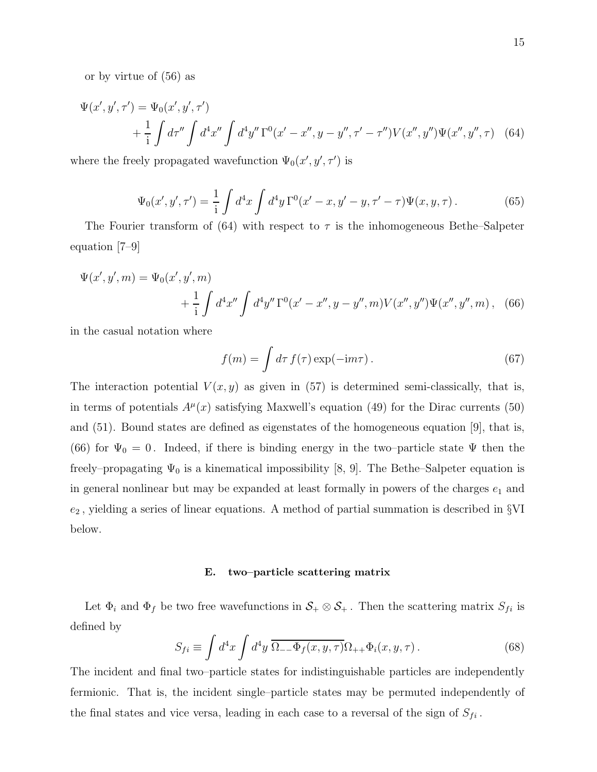or by virtue of (56) as

$$
\Psi(x', y', \tau') = \Psi_0(x', y', \tau')
$$
  
+ 
$$
\frac{1}{1} \int d\tau'' \int d^4x'' \int d^4y'' \Gamma^0(x' - x'', y - y'', \tau' - \tau'') V(x'', y'') \Psi(x'', y'', \tau) \quad (64)
$$

where the freely propagated wavefunction  $\Psi_0(x', y', \tau')$  is

$$
\Psi_0(x', y', \tau') = \frac{1}{\mathrm{i}} \int d^4 x \int d^4 y \, \Gamma^0(x' - x, y' - y, \tau' - \tau) \Psi(x, y, \tau) \,. \tag{65}
$$

The Fourier transform of (64) with respect to  $\tau$  is the inhomogeneous Bethe–Salpeter equation [7–9]

$$
\Psi(x', y', m) = \Psi_0(x', y', m)
$$
  
+  $\frac{1}{i} \int d^4 x'' \int d^4 y'' \Gamma^0(x' - x'', y - y'', m) V(x'', y'') \Psi(x'', y'', m)$ , (66)

in the casual notation where

$$
f(m) = \int d\tau \, f(\tau) \exp(-\mathrm{i}m\tau). \tag{67}
$$

The interaction potential  $V(x, y)$  as given in (57) is determined semi-classically, that is, in terms of potentials  $A^{\mu}(x)$  satisfying Maxwell's equation (49) for the Dirac currents (50) and (51). Bound states are defined as eigenstates of the homogeneous equation [9], that is, (66) for  $\Psi_0 = 0$ . Indeed, if there is binding energy in the two–particle state  $\Psi$  then the freely–propagating  $\Psi_0$  is a kinematical impossibility [8, 9]. The Bethe–Salpeter equation is in general nonlinear but may be expanded at least formally in powers of the charges  $e_1$  and  $e_2$ , yielding a series of linear equations. A method of partial summation is described in  $\S$ VI below.

## E. two–particle scattering matrix

Let  $\Phi_i$  and  $\Phi_f$  be two free wavefunctions in  $S_+ \otimes S_+$ . Then the scattering matrix  $S_{fi}$  is defined by

$$
S_{fi} \equiv \int d^4x \int d^4y \, \overline{\Omega_{--}\Phi_f(x,y,\tau)} \Omega_{++}\Phi_i(x,y,\tau) \,. \tag{68}
$$

The incident and final two–particle states for indistinguishable particles are independently fermionic. That is, the incident single–particle states may be permuted independently of the final states and vice versa, leading in each case to a reversal of the sign of  $S_{fi}$ .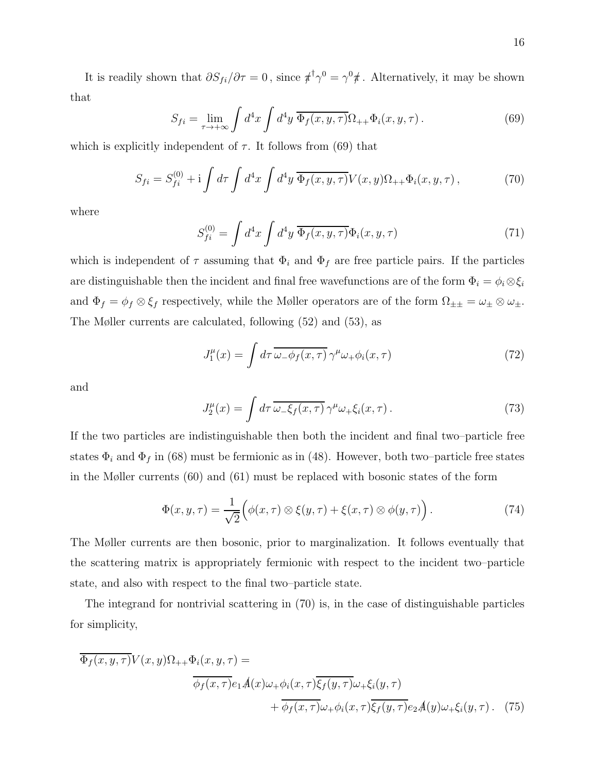It is readily shown that  $\partial S_{fi}/\partial \tau = 0$ , since  $\pi^{\dagger} \gamma^0 = \gamma^0 \pi$ . Alternatively, it may be shown that

$$
S_{fi} = \lim_{\tau \to +\infty} \int d^4x \int d^4y \, \overline{\Phi_f(x, y, \tau)} \Omega_{++} \Phi_i(x, y, \tau) \,. \tag{69}
$$

which is explicitly independent of  $\tau$ . It follows from (69) that

$$
S_{fi} = S_{fi}^{(0)} + i \int d\tau \int d^4x \int d^4y \, \overline{\Phi_f(x, y, \tau)} V(x, y) \Omega_{++} \Phi_i(x, y, \tau) , \qquad (70)
$$

where

$$
S_{fi}^{(0)} = \int d^4x \int d^4y \, \overline{\Phi_f(x, y, \tau)} \Phi_i(x, y, \tau) \tag{71}
$$

which is independent of  $\tau$  assuming that  $\Phi_i$  and  $\Phi_f$  are free particle pairs. If the particles are distinguishable then the incident and final free wavefunctions are of the form  $\Phi_i = \phi_i \otimes \xi_i$ and  $\Phi_f = \phi_f \otimes \xi_f$  respectively, while the Møller operators are of the form  $\Omega_{\pm\pm} = \omega_{\pm} \otimes \omega_{\pm}$ . The Møller currents are calculated, following (52) and (53), as

$$
J_1^{\mu}(x) = \int d\tau \, \overline{\omega_{-} \phi_f(x,\tau)} \, \gamma^{\mu} \omega_{+} \phi_i(x,\tau) \tag{72}
$$

and

$$
J_2^{\mu}(x) = \int d\tau \, \overline{\omega_{-}\xi_f(x,\tau)} \, \gamma^{\mu} \omega_{+}\xi_i(x,\tau) \,. \tag{73}
$$

If the two particles are indistinguishable then both the incident and final two–particle free states  $\Phi_i$  and  $\Phi_f$  in (68) must be fermionic as in (48). However, both two–particle free states in the Møller currents (60) and (61) must be replaced with bosonic states of the form

$$
\Phi(x, y, \tau) = \frac{1}{\sqrt{2}} \Big( \phi(x, \tau) \otimes \xi(y, \tau) + \xi(x, \tau) \otimes \phi(y, \tau) \Big). \tag{74}
$$

The Møller currents are then bosonic, prior to marginalization. It follows eventually that the scattering matrix is appropriately fermionic with respect to the incident two–particle state, and also with respect to the final two–particle state.

The integrand for nontrivial scattering in (70) is, in the case of distinguishable particles for simplicity,

$$
\overline{\Phi_f(x, y, \tau)} V(x, y) \Omega_{++} \Phi_i(x, y, \tau) =
$$
\n
$$
\overline{\phi_f(x, \tau)} e_1 A(x) \omega_+ \phi_i(x, \tau) \overline{\xi_f(y, \tau)} \omega_+ \xi_i(y, \tau)
$$
\n
$$
+ \overline{\phi_f(x, \tau)} \omega_+ \phi_i(x, \tau) \overline{\xi_f(y, \tau)} e_2 A(y) \omega_+ \xi_i(y, \tau) . \tag{75}
$$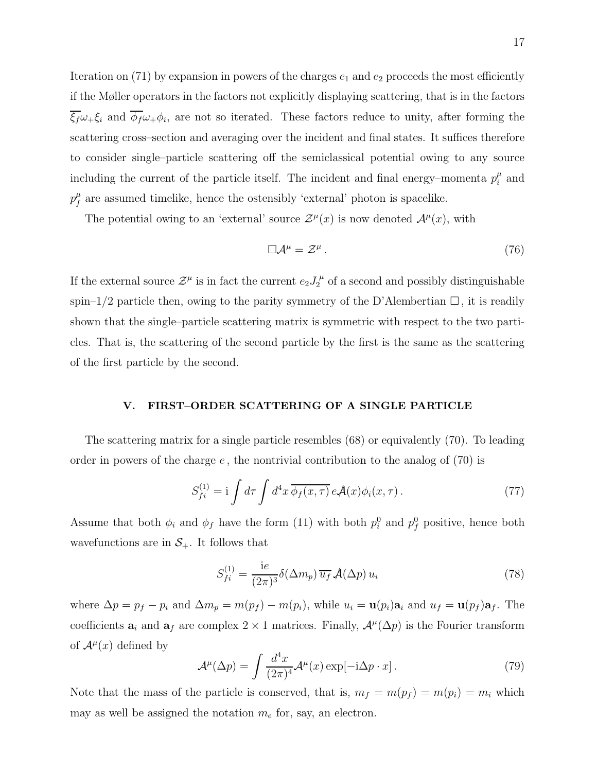Iteration on (71) by expansion in powers of the charges  $e_1$  and  $e_2$  proceeds the most efficiently if the Møller operators in the factors not explicitly displaying scattering, that is in the factors  $\xi_f\omega_+\xi_i$  and  $\phi_f\omega_+\phi_i$ , are not so iterated. These factors reduce to unity, after forming the scattering cross–section and averaging over the incident and final states. It suffices therefore to consider single–particle scattering off the semiclassical potential owing to any source including the current of the particle itself. The incident and final energy–momenta  $p_i^{\mu}$  $\frac{\mu}{i}$  and  $p_f^{\mu}$  $f_{f}^{\mu}$  are assumed timelike, hence the ostensibly 'external' photon is spacelike.

The potential owing to an 'external' source  $\mathcal{Z}^{\mu}(x)$  is now denoted  $\mathcal{A}^{\mu}(x)$ , with

$$
\Box \mathcal{A}^{\mu} = \mathcal{Z}^{\mu} \,. \tag{76}
$$

If the external source  $\mathcal{Z}^{\mu}$  is in fact the current  $e_2 J_2^{\mu}$  $\int_2^{\mu}$  of a second and possibly distinguishable spin–1/2 particle then, owing to the parity symmetry of the D'Alembertian  $\Box$ , it is readily shown that the single–particle scattering matrix is symmetric with respect to the two particles. That is, the scattering of the second particle by the first is the same as the scattering of the first particle by the second.

#### V. FIRST–ORDER SCATTERING OF A SINGLE PARTICLE

The scattering matrix for a single particle resembles (68) or equivalently (70). To leading order in powers of the charge  $e$ , the nontrivial contribution to the analog of  $(70)$  is

$$
S_{fi}^{(1)} = \mathbf{i} \int d\tau \int d^4x \, \overline{\phi_f(x,\tau)} \, e \mathcal{A}(x) \phi_i(x,\tau) \,. \tag{77}
$$

Assume that both  $\phi_i$  and  $\phi_f$  have the form (11) with both  $p_i^0$  and  $p_f^0$  positive, hence both wavefunctions are in  $S_{+}$ . It follows that

$$
S_{fi}^{(1)} = \frac{\mathrm{i}e}{(2\pi)^3} \delta(\Delta m_p) \,\overline{u_f} \,\mathcal{A}(\Delta p) \, u_i \tag{78}
$$

where  $\Delta p = p_f - p_i$  and  $\Delta m_p = m(p_f) - m(p_i)$ , while  $u_i = \mathbf{u}(p_i)\mathbf{a}_i$  and  $u_f = \mathbf{u}(p_f)\mathbf{a}_f$ . The coefficients  $a_i$  and  $a_f$  are complex 2 × 1 matrices. Finally,  $\mathcal{A}^{\mu}(\Delta p)$  is the Fourier transform of  $\mathcal{A}^{\mu}(x)$  defined by

$$
\mathcal{A}^{\mu}(\Delta p) = \int \frac{d^4x}{(2\pi)^4} \mathcal{A}^{\mu}(x) \exp[-i\Delta p \cdot x]. \tag{79}
$$

Note that the mass of the particle is conserved, that is,  $m_f = m(p_f) = m(p_i) = m_i$  which may as well be assigned the notation  $m_e$  for, say, an electron.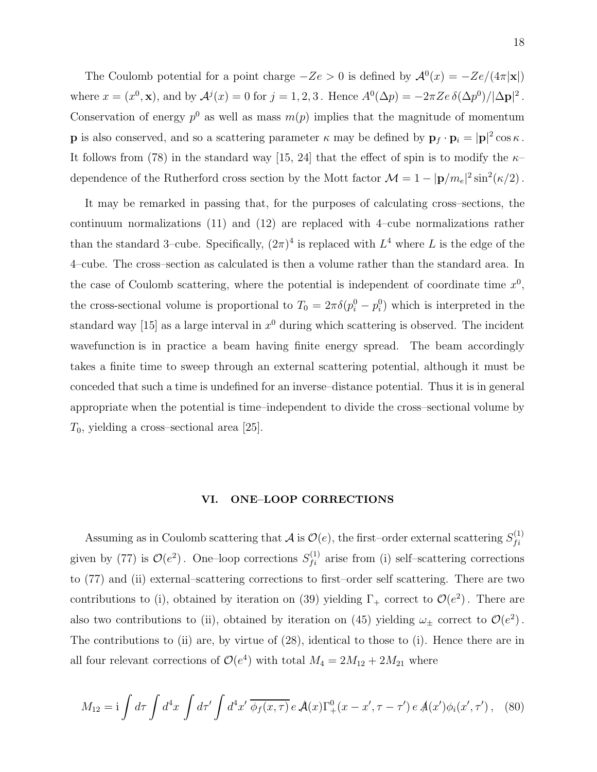The Coulomb potential for a point charge  $-Ze > 0$  is defined by  $\mathcal{A}^0(x) = -Ze/(4\pi|\mathbf{x}|)$ where  $x = (x^0, \mathbf{x})$ , and by  $\mathcal{A}^j(x) = 0$  for  $j = 1, 2, 3$ . Hence  $A^0(\Delta p) = -2\pi Ze \delta(\Delta p^0)/|\Delta \mathbf{p}|^2$ . Conservation of energy  $p^0$  as well as mass  $m(p)$  implies that the magnitude of momentum **p** is also conserved, and so a scattering parameter  $\kappa$  may be defined by  $\mathbf{p}_f \cdot \mathbf{p}_i = |\mathbf{p}|^2 \cos \kappa$ . It follows from (78) in the standard way [15, 24] that the effect of spin is to modify the  $\kappa$ dependence of the Rutherford cross section by the Mott factor  $\mathcal{M} = 1 - |\mathbf{p}/m_e|^2 \sin^2(\kappa/2)$ .

It may be remarked in passing that, for the purposes of calculating cross–sections, the continuum normalizations (11) and (12) are replaced with 4–cube normalizations rather than the standard 3-cube. Specifically,  $(2\pi)^4$  is replaced with  $L^4$  where L is the edge of the 4–cube. The cross–section as calculated is then a volume rather than the standard area. In the case of Coulomb scattering, where the potential is independent of coordinate time  $x^0$ , the cross-sectional volume is proportional to  $T_0 = 2\pi \delta(p_i^0 - p_i^0)$  which is interpreted in the standard way [15] as a large interval in  $x^0$  during which scattering is observed. The incident wavefunction is in practice a beam having finite energy spread. The beam accordingly takes a finite time to sweep through an external scattering potential, although it must be conceded that such a time is undefined for an inverse–distance potential. Thus it is in general appropriate when the potential is time–independent to divide the cross–sectional volume by  $T_0$ , yielding a cross–sectional area [25].

## VI. ONE–LOOP CORRECTIONS

Assuming as in Coulomb scattering that  $A$  is  $\mathcal{O}(e)$ , the first–order external scattering  $S_{fi}^{(1)}$  $f_{i}$ given by (77) is  $\mathcal{O}(e^2)$ . One-loop corrections  $S_{fi}^{(1)}$  arise from (i) self-scattering corrections to (77) and (ii) external–scattering corrections to first–order self scattering. There are two contributions to (i), obtained by iteration on (39) yielding  $\Gamma_+$  correct to  $\mathcal{O}(e^2)$ . There are also two contributions to (ii), obtained by iteration on (45) yielding  $\omega_{\pm}$  correct to  $\mathcal{O}(e^2)$ . The contributions to (ii) are, by virtue of (28), identical to those to (i). Hence there are in all four relevant corrections of  $\mathcal{O}(e^4)$  with total  $M_4 = 2M_{12} + 2M_{21}$  where

$$
M_{12} = i \int d\tau \int d^4x \int d\tau' \int d^4x' \, \overline{\phi_f(x,\tau)} \, e \, \mathcal{A}(x) \Gamma_+^0(x-x',\tau-\tau') \, e \, \mathcal{A}(x') \phi_i(x',\tau') \,, \tag{80}
$$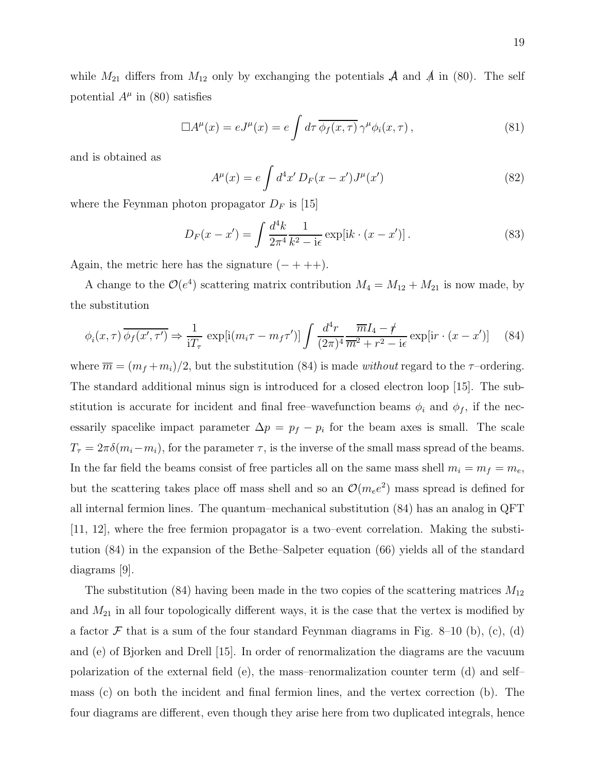while  $M_{21}$  differs from  $M_{12}$  only by exchanging the potentials  $\mathcal A$  and  $\mathcal A$  in (80). The self potential  $A^{\mu}$  in (80) satisfies

$$
\Box A^{\mu}(x) = eJ^{\mu}(x) = e \int d\tau \, \overline{\phi_f(x,\tau)} \, \gamma^{\mu} \phi_i(x,\tau) \,, \tag{81}
$$

and is obtained as

$$
A^{\mu}(x) = e \int d^4x' D_F(x - x') J^{\mu}(x')
$$
 (82)

where the Feynman photon propagator  $D_F$  is [15]

$$
D_F(x - x') = \int \frac{d^4k}{2\pi^4} \frac{1}{k^2 - i\epsilon} \exp[ik \cdot (x - x')] \,. \tag{83}
$$

Again, the metric here has the signature  $(- + + +)$ .

A change to the  $\mathcal{O}(e^4)$  scattering matrix contribution  $M_4 = M_{12} + M_{21}$  is now made, by the substitution

$$
\phi_i(x,\tau)\overline{\phi_f(x',\tau')} \Rightarrow \frac{1}{iT_\tau} \exp[i(m_i\tau - m_f\tau')] \int \frac{d^4r}{(2\pi)^4} \frac{\overline{m}I_4 - \psi}{\overline{m}^2 + r^2 - i\epsilon} \exp[ir \cdot (x - x')] \tag{84}
$$

where  $\overline{m} = (m_f + m_i)/2$ , but the substitution (84) is made without regard to the  $\tau$ -ordering. The standard additional minus sign is introduced for a closed electron loop [15]. The substitution is accurate for incident and final free–wavefunction beams  $\phi_i$  and  $\phi_f$ , if the necessarily spacelike impact parameter  $\Delta p = p_f - p_i$  for the beam axes is small. The scale  $T_{\tau} = 2\pi\delta(m_i - m_i)$ , for the parameter  $\tau$ , is the inverse of the small mass spread of the beams. In the far field the beams consist of free particles all on the same mass shell  $m_i = m_f = m_e$ , but the scattering takes place off mass shell and so an  $\mathcal{O}(m_e e^2)$  mass spread is defined for all internal fermion lines. The quantum–mechanical substitution (84) has an analog in QFT [11, 12], where the free fermion propagator is a two–event correlation. Making the substitution (84) in the expansion of the Bethe–Salpeter equation (66) yields all of the standard diagrams [9].

The substitution (84) having been made in the two copies of the scattering matrices  $M_{12}$ and  $M_{21}$  in all four topologically different ways, it is the case that the vertex is modified by a factor  $\mathcal F$  that is a sum of the four standard Feynman diagrams in Fig. 8–10 (b), (c), (d) and (e) of Bjorken and Drell [15]. In order of renormalization the diagrams are the vacuum polarization of the external field (e), the mass–renormalization counter term (d) and self– mass (c) on both the incident and final fermion lines, and the vertex correction (b). The four diagrams are different, even though they arise here from two duplicated integrals, hence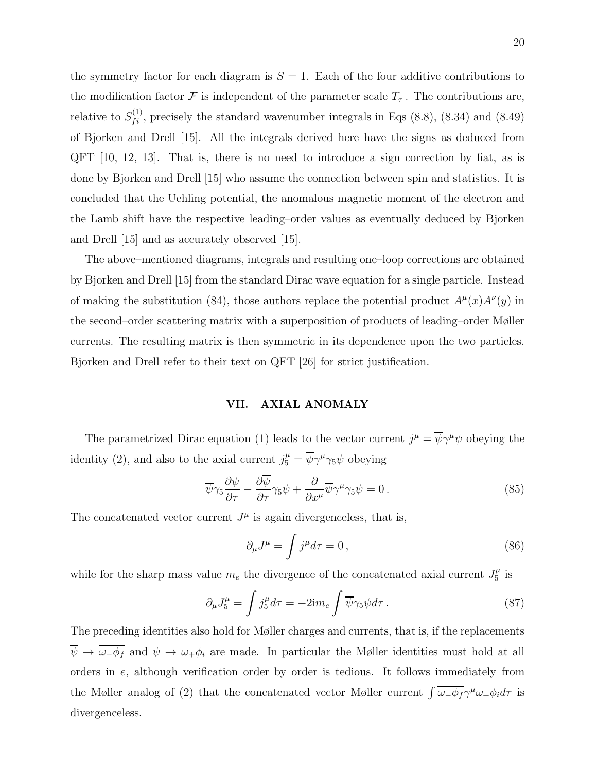the symmetry factor for each diagram is  $S = 1$ . Each of the four additive contributions to the modification factor F is independent of the parameter scale  $T_{\tau}$ . The contributions are, relative to  $S_{fi}^{(1)}$ , precisely the standard wavenumber integrals in Eqs (8.8), (8.34) and (8.49) of Bjorken and Drell [15]. All the integrals derived here have the signs as deduced from QFT [10, 12, 13]. That is, there is no need to introduce a sign correction by fiat, as is done by Bjorken and Drell [15] who assume the connection between spin and statistics. It is concluded that the Uehling potential, the anomalous magnetic moment of the electron and the Lamb shift have the respective leading–order values as eventually deduced by Bjorken and Drell [15] and as accurately observed [15].

The above–mentioned diagrams, integrals and resulting one–loop corrections are obtained by Bjorken and Drell [15] from the standard Dirac wave equation for a single particle. Instead of making the substitution (84), those authors replace the potential product  $A^{\mu}(x)A^{\nu}(y)$  in the second–order scattering matrix with a superposition of products of leading–order Møller currents. The resulting matrix is then symmetric in its dependence upon the two particles. Bjorken and Drell refer to their text on QFT [26] for strict justification.

## VII. AXIAL ANOMALY

The parametrized Dirac equation (1) leads to the vector current  $j^{\mu} = \overline{\psi} \gamma^{\mu} \psi$  obeying the identity (2), and also to the axial current  $j_5^{\mu} = \overline{\psi} \gamma^{\mu} \gamma_5 \psi$  obeying

$$
\overline{\psi}\gamma_5 \frac{\partial \psi}{\partial \tau} - \frac{\partial \overline{\psi}}{\partial \tau} \gamma_5 \psi + \frac{\partial}{\partial x^{\mu}} \overline{\psi} \gamma^{\mu} \gamma_5 \psi = 0.
$$
\n(85)

The concatenated vector current  $J^{\mu}$  is again divergenceless, that is,

$$
\partial_{\mu}J^{\mu} = \int j^{\mu}d\tau = 0, \qquad (86)
$$

while for the sharp mass value  $m_e$  the divergence of the concatenated axial current  $J_5^{\mu}$  $\frac{\mu}{5}$  is

$$
\partial_{\mu}J_{5}^{\mu} = \int j_{5}^{\mu} d\tau = -2\mathrm{i}m_{e} \int \overline{\psi}\gamma_{5}\psi d\tau. \tag{87}
$$

The preceding identities also hold for Møller charges and currents, that is, if the replacements  $\overline{\psi} \to \overline{\omega_{-} \phi_{f}}$  and  $\psi \to \omega_{+} \phi_{i}$  are made. In particular the Møller identities must hold at all orders in e, although verification order by order is tedious. It follows immediately from the Møller analog of (2) that the concatenated vector Møller current  $\int \overline{\omega_{-}\phi_{f}} \gamma^{\mu}\omega_{+}\phi_{i}d\tau$  is divergenceless.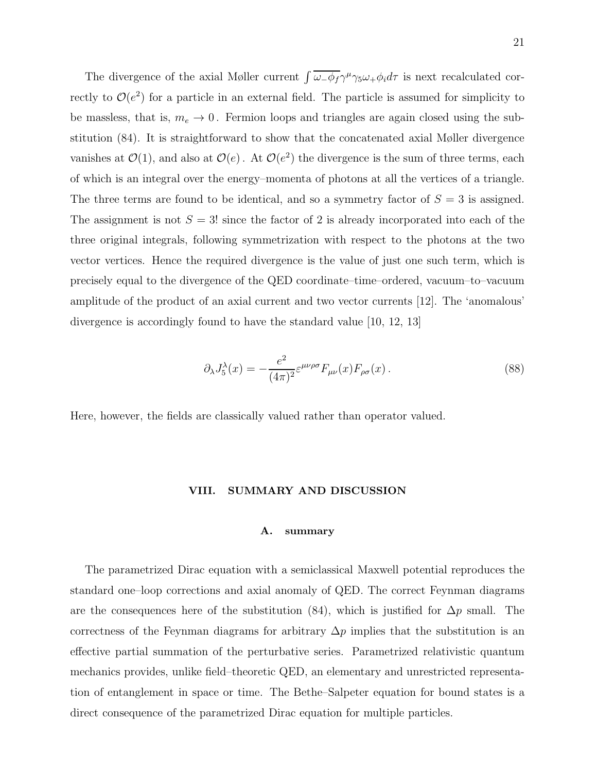The divergence of the axial Møller current  $\int \overline{\omega_{-}\phi_{f}} \gamma^{\mu} \gamma_{5} \omega_{+} \phi_{i} d\tau$  is next recalculated correctly to  $\mathcal{O}(e^2)$  for a particle in an external field. The particle is assumed for simplicity to be massless, that is,  $m_e \to 0$ . Fermion loops and triangles are again closed using the substitution (84). It is straightforward to show that the concatenated axial Møller divergence vanishes at  $\mathcal{O}(1)$ , and also at  $\mathcal{O}(e)$ . At  $\mathcal{O}(e^2)$  the divergence is the sum of three terms, each of which is an integral over the energy–momenta of photons at all the vertices of a triangle. The three terms are found to be identical, and so a symmetry factor of  $S = 3$  is assigned. The assignment is not  $S = 3!$  since the factor of 2 is already incorporated into each of the three original integrals, following symmetrization with respect to the photons at the two vector vertices. Hence the required divergence is the value of just one such term, which is precisely equal to the divergence of the QED coordinate–time–ordered, vacuum–to–vacuum amplitude of the product of an axial current and two vector currents [12]. The 'anomalous' divergence is accordingly found to have the standard value [10, 12, 13]

$$
\partial_{\lambda}J_{5}^{\lambda}(x) = -\frac{e^{2}}{(4\pi)^{2}} \varepsilon^{\mu\nu\rho\sigma} F_{\mu\nu}(x) F_{\rho\sigma}(x) . \tag{88}
$$

Here, however, the fields are classically valued rather than operator valued.

#### VIII. SUMMARY AND DISCUSSION

## A. summary

The parametrized Dirac equation with a semiclassical Maxwell potential reproduces the standard one–loop corrections and axial anomaly of QED. The correct Feynman diagrams are the consequences here of the substitution (84), which is justified for  $\Delta p$  small. The correctness of the Feynman diagrams for arbitrary  $\Delta p$  implies that the substitution is an effective partial summation of the perturbative series. Parametrized relativistic quantum mechanics provides, unlike field–theoretic QED, an elementary and unrestricted representation of entanglement in space or time. The Bethe–Salpeter equation for bound states is a direct consequence of the parametrized Dirac equation for multiple particles.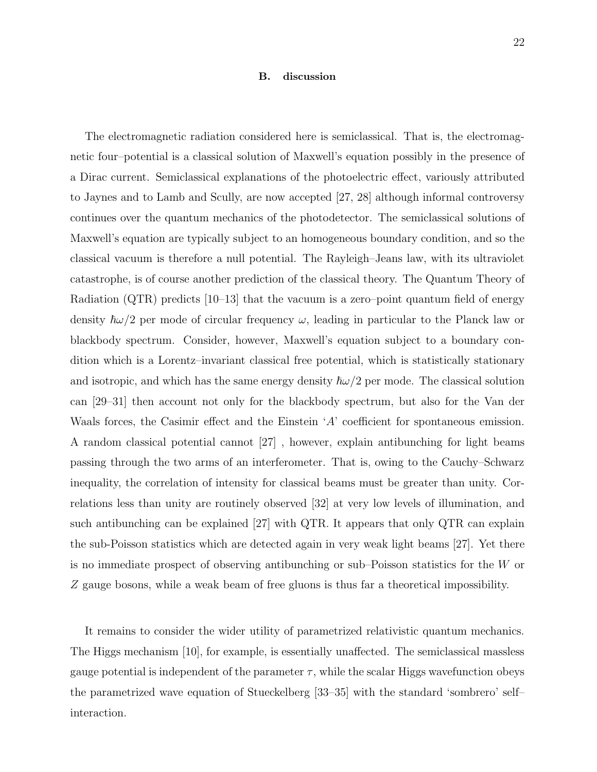#### B. discussion

The electromagnetic radiation considered here is semiclassical. That is, the electromagnetic four–potential is a classical solution of Maxwell's equation possibly in the presence of a Dirac current. Semiclassical explanations of the photoelectric effect, variously attributed to Jaynes and to Lamb and Scully, are now accepted [27, 28] although informal controversy continues over the quantum mechanics of the photodetector. The semiclassical solutions of Maxwell's equation are typically subject to an homogeneous boundary condition, and so the classical vacuum is therefore a null potential. The Rayleigh–Jeans law, with its ultraviolet catastrophe, is of course another prediction of the classical theory. The Quantum Theory of Radiation (QTR) predicts [10–13] that the vacuum is a zero–point quantum field of energy density  $\hbar\omega/2$  per mode of circular frequency  $\omega$ , leading in particular to the Planck law or blackbody spectrum. Consider, however, Maxwell's equation subject to a boundary condition which is a Lorentz–invariant classical free potential, which is statistically stationary and isotropic, and which has the same energy density  $\hbar \omega/2$  per mode. The classical solution can [29–31] then account not only for the blackbody spectrum, but also for the Van der Waals forces, the Casimir effect and the Einstein 'A' coefficient for spontaneous emission. A random classical potential cannot [27] , however, explain antibunching for light beams passing through the two arms of an interferometer. That is, owing to the Cauchy–Schwarz inequality, the correlation of intensity for classical beams must be greater than unity. Correlations less than unity are routinely observed [32] at very low levels of illumination, and such antibunching can be explained [27] with QTR. It appears that only QTR can explain the sub-Poisson statistics which are detected again in very weak light beams [27]. Yet there is no immediate prospect of observing antibunching or sub–Poisson statistics for the W or Z gauge bosons, while a weak beam of free gluons is thus far a theoretical impossibility.

It remains to consider the wider utility of parametrized relativistic quantum mechanics. The Higgs mechanism [10], for example, is essentially unaffected. The semiclassical massless gauge potential is independent of the parameter  $\tau$ , while the scalar Higgs wavefunction obeys the parametrized wave equation of Stueckelberg [33–35] with the standard 'sombrero' self– interaction.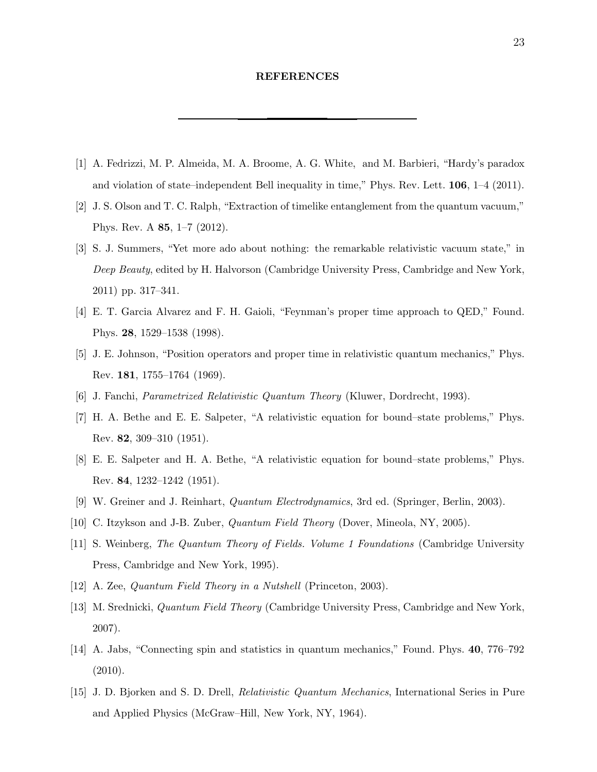## REFERENCES

- [1] A. Fedrizzi, M. P. Almeida, M. A. Broome, A. G. White, and M. Barbieri, "Hardy's paradox and violation of state–independent Bell inequality in time," Phys. Rev. Lett. 106, 1–4 (2011).
- [2] J. S. Olson and T. C. Ralph, "Extraction of timelike entanglement from the quantum vacuum," Phys. Rev. A 85, 1–7 (2012).
- [3] S. J. Summers, "Yet more ado about nothing: the remarkable relativistic vacuum state," in *Deep Beauty*, edited by H. Halvorson (Cambridge University Press, Cambridge and New York, 2011) pp. 317–341.
- [4] E. T. Garcia Alvarez and F. H. Gaioli, "Feynman's proper time approach to QED," Found. Phys. 28, 1529–1538 (1998).
- [5] J. E. Johnson, "Position operators and proper time in relativistic quantum mechanics," Phys. Rev. 181, 1755–1764 (1969).
- [6] J. Fanchi, *Parametrized Relativistic Quantum Theory* (Kluwer, Dordrecht, 1993).
- [7] H. A. Bethe and E. E. Salpeter, "A relativistic equation for bound–state problems," Phys. Rev. 82, 309–310 (1951).
- [8] E. E. Salpeter and H. A. Bethe, "A relativistic equation for bound–state problems," Phys. Rev. 84, 1232–1242 (1951).
- [9] W. Greiner and J. Reinhart, *Quantum Electrodynamics*, 3rd ed. (Springer, Berlin, 2003).
- [10] C. Itzykson and J-B. Zuber, *Quantum Field Theory* (Dover, Mineola, NY, 2005).
- [11] S. Weinberg, *The Quantum Theory of Fields. Volume 1 Foundations* (Cambridge University Press, Cambridge and New York, 1995).
- [12] A. Zee, *Quantum Field Theory in a Nutshell* (Princeton, 2003).
- [13] M. Srednicki, *Quantum Field Theory* (Cambridge University Press, Cambridge and New York, 2007).
- [14] A. Jabs, "Connecting spin and statistics in quantum mechanics," Found. Phys. 40, 776–792 (2010).
- [15] J. D. Bjorken and S. D. Drell, *Relativistic Quantum Mechanics*, International Series in Pure and Applied Physics (McGraw–Hill, New York, NY, 1964).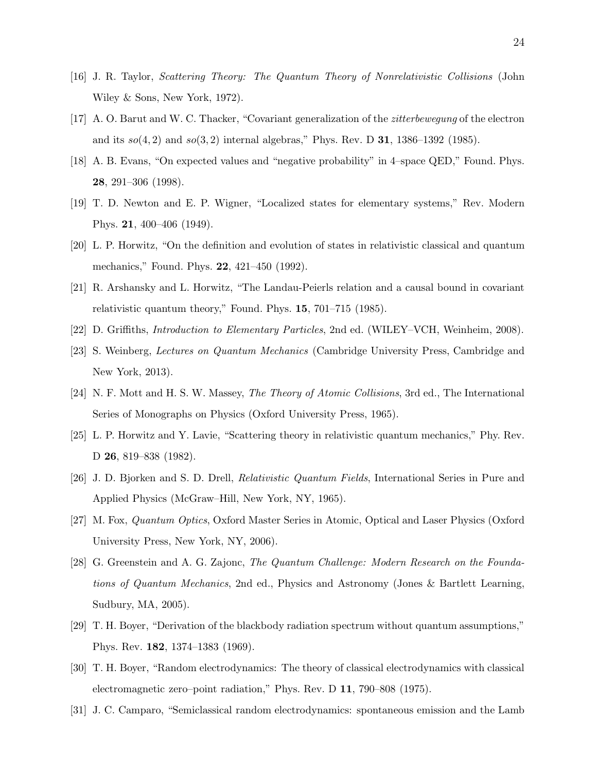- [16] J. R. Taylor, *Scattering Theory: The Quantum Theory of Nonrelativistic Collisions* (John Wiley & Sons, New York, 1972).
- [17] A. O. Barut and W. C. Thacker, "Covariant generalization of the *zitterbewegung* of the electron and its  $s\dot{o}(4, 2)$  and  $s\dot{o}(3, 2)$  internal algebras," Phys. Rev. D **31**, 1386–1392 (1985).
- [18] A. B. Evans, "On expected values and "negative probability" in 4–space QED," Found. Phys. 28, 291–306 (1998).
- [19] T. D. Newton and E. P. Wigner, "Localized states for elementary systems," Rev. Modern Phys. 21, 400–406 (1949).
- [20] L. P. Horwitz, "On the definition and evolution of states in relativistic classical and quantum mechanics," Found. Phys. 22, 421–450 (1992).
- [21] R. Arshansky and L. Horwitz, "The Landau-Peierls relation and a causal bound in covariant relativistic quantum theory," Found. Phys. 15, 701–715 (1985).
- [22] D. Griffiths, *Introduction to Elementary Particles*, 2nd ed. (WILEY–VCH, Weinheim, 2008).
- [23] S. Weinberg, *Lectures on Quantum Mechanics* (Cambridge University Press, Cambridge and New York, 2013).
- [24] N. F. Mott and H. S. W. Massey, *The Theory of Atomic Collisions*, 3rd ed., The International Series of Monographs on Physics (Oxford University Press, 1965).
- [25] L. P. Horwitz and Y. Lavie, "Scattering theory in relativistic quantum mechanics," Phy. Rev. D 26, 819–838 (1982).
- [26] J. D. Bjorken and S. D. Drell, *Relativistic Quantum Fields*, International Series in Pure and Applied Physics (McGraw–Hill, New York, NY, 1965).
- [27] M. Fox, *Quantum Optics*, Oxford Master Series in Atomic, Optical and Laser Physics (Oxford University Press, New York, NY, 2006).
- [28] G. Greenstein and A. G. Zajonc, *The Quantum Challenge: Modern Research on the Foundations of Quantum Mechanics*, 2nd ed., Physics and Astronomy (Jones & Bartlett Learning, Sudbury, MA, 2005).
- [29] T. H. Boyer, "Derivation of the blackbody radiation spectrum without quantum assumptions," Phys. Rev. 182, 1374–1383 (1969).
- [30] T. H. Boyer, "Random electrodynamics: The theory of classical electrodynamics with classical electromagnetic zero–point radiation," Phys. Rev. D 11, 790–808 (1975).
- [31] J. C. Camparo, "Semiclassical random electrodynamics: spontaneous emission and the Lamb